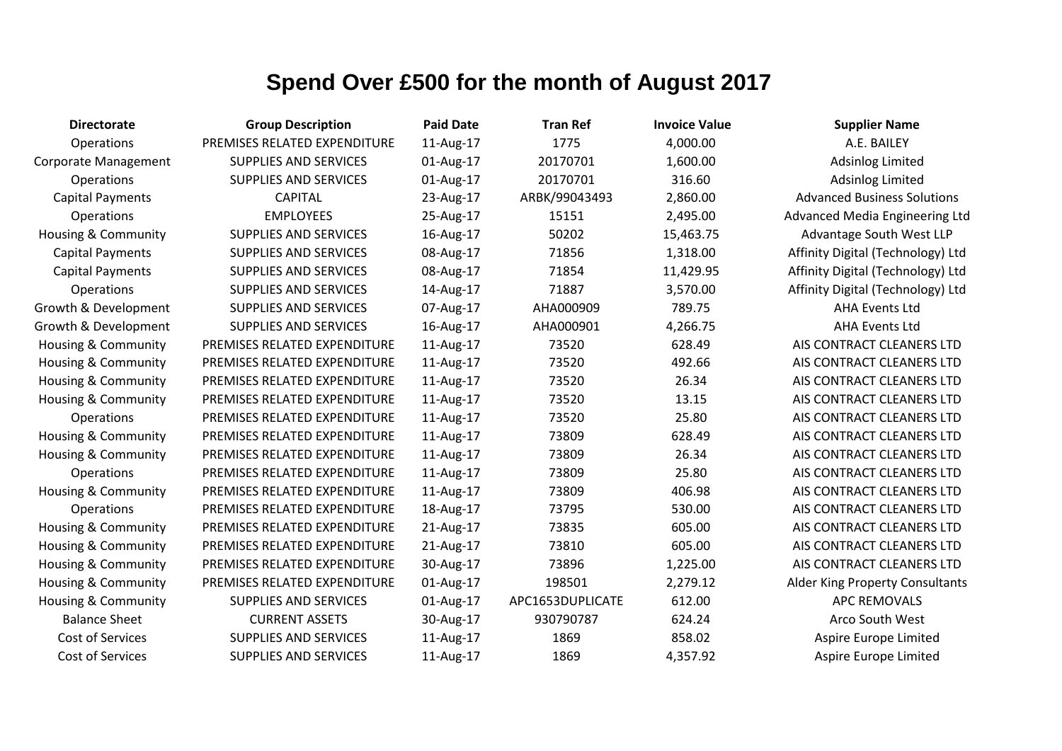| <b>Directorate</b>             | <b>Group Description</b>     | <b>Paid Date</b> | <b>Tran Ref</b>  | <b>Invoice Value</b> | <b>Supplier Name</b>                   |
|--------------------------------|------------------------------|------------------|------------------|----------------------|----------------------------------------|
| Operations                     | PREMISES RELATED EXPENDITURE | 11-Aug-17        | 1775             | 4,000.00             | A.E. BAILEY                            |
| Corporate Management           | <b>SUPPLIES AND SERVICES</b> | 01-Aug-17        | 20170701         | 1,600.00             | <b>Adsinlog Limited</b>                |
| Operations                     | <b>SUPPLIES AND SERVICES</b> | 01-Aug-17        | 20170701         | 316.60               | <b>Adsinlog Limited</b>                |
| <b>Capital Payments</b>        | <b>CAPITAL</b>               | 23-Aug-17        | ARBK/99043493    | 2,860.00             | <b>Advanced Business Solutions</b>     |
| Operations                     | <b>EMPLOYEES</b>             | 25-Aug-17        | 15151            | 2,495.00             | Advanced Media Engineering Ltd         |
| <b>Housing &amp; Community</b> | <b>SUPPLIES AND SERVICES</b> | 16-Aug-17        | 50202            | 15,463.75            | Advantage South West LLP               |
| <b>Capital Payments</b>        | <b>SUPPLIES AND SERVICES</b> | 08-Aug-17        | 71856            | 1,318.00             | Affinity Digital (Technology) Ltd      |
| <b>Capital Payments</b>        | <b>SUPPLIES AND SERVICES</b> | 08-Aug-17        | 71854            | 11,429.95            | Affinity Digital (Technology) Ltd      |
| Operations                     | <b>SUPPLIES AND SERVICES</b> | 14-Aug-17        | 71887            | 3,570.00             | Affinity Digital (Technology) Ltd      |
| Growth & Development           | <b>SUPPLIES AND SERVICES</b> | 07-Aug-17        | AHA000909        | 789.75               | <b>AHA Events Ltd</b>                  |
| Growth & Development           | <b>SUPPLIES AND SERVICES</b> | 16-Aug-17        | AHA000901        | 4,266.75             | <b>AHA Events Ltd</b>                  |
| Housing & Community            | PREMISES RELATED EXPENDITURE | 11-Aug-17        | 73520            | 628.49               | AIS CONTRACT CLEANERS LTD              |
| Housing & Community            | PREMISES RELATED EXPENDITURE | 11-Aug-17        | 73520            | 492.66               | AIS CONTRACT CLEANERS LTD              |
| <b>Housing &amp; Community</b> | PREMISES RELATED EXPENDITURE | 11-Aug-17        | 73520            | 26.34                | AIS CONTRACT CLEANERS LTD              |
| <b>Housing &amp; Community</b> | PREMISES RELATED EXPENDITURE | 11-Aug-17        | 73520            | 13.15                | AIS CONTRACT CLEANERS LTD              |
| Operations                     | PREMISES RELATED EXPENDITURE | 11-Aug-17        | 73520            | 25.80                | AIS CONTRACT CLEANERS LTD              |
| Housing & Community            | PREMISES RELATED EXPENDITURE | 11-Aug-17        | 73809            | 628.49               | AIS CONTRACT CLEANERS LTD              |
| <b>Housing &amp; Community</b> | PREMISES RELATED EXPENDITURE | 11-Aug-17        | 73809            | 26.34                | AIS CONTRACT CLEANERS LTD              |
| Operations                     | PREMISES RELATED EXPENDITURE | 11-Aug-17        | 73809            | 25.80                | AIS CONTRACT CLEANERS LTD              |
| <b>Housing &amp; Community</b> | PREMISES RELATED EXPENDITURE | 11-Aug-17        | 73809            | 406.98               | AIS CONTRACT CLEANERS LTD              |
| Operations                     | PREMISES RELATED EXPENDITURE | 18-Aug-17        | 73795            | 530.00               | AIS CONTRACT CLEANERS LTD              |
| Housing & Community            | PREMISES RELATED EXPENDITURE | 21-Aug-17        | 73835            | 605.00               | AIS CONTRACT CLEANERS LTD              |
| Housing & Community            | PREMISES RELATED EXPENDITURE | 21-Aug-17        | 73810            | 605.00               | AIS CONTRACT CLEANERS LTD              |
| Housing & Community            | PREMISES RELATED EXPENDITURE | 30-Aug-17        | 73896            | 1,225.00             | AIS CONTRACT CLEANERS LTD              |
| <b>Housing &amp; Community</b> | PREMISES RELATED EXPENDITURE | 01-Aug-17        | 198501           | 2,279.12             | <b>Alder King Property Consultants</b> |
| <b>Housing &amp; Community</b> | <b>SUPPLIES AND SERVICES</b> | 01-Aug-17        | APC1653DUPLICATE | 612.00               | <b>APC REMOVALS</b>                    |
| <b>Balance Sheet</b>           | <b>CURRENT ASSETS</b>        | 30-Aug-17        | 930790787        | 624.24               | Arco South West                        |
| Cost of Services               | SUPPLIES AND SERVICES        | 11-Aug-17        | 1869             | 858.02               | Aspire Europe Limited                  |
| Cost of Services               | <b>SUPPLIES AND SERVICES</b> | 11-Aug-17        | 1869             | 4,357.92             | Aspire Europe Limited                  |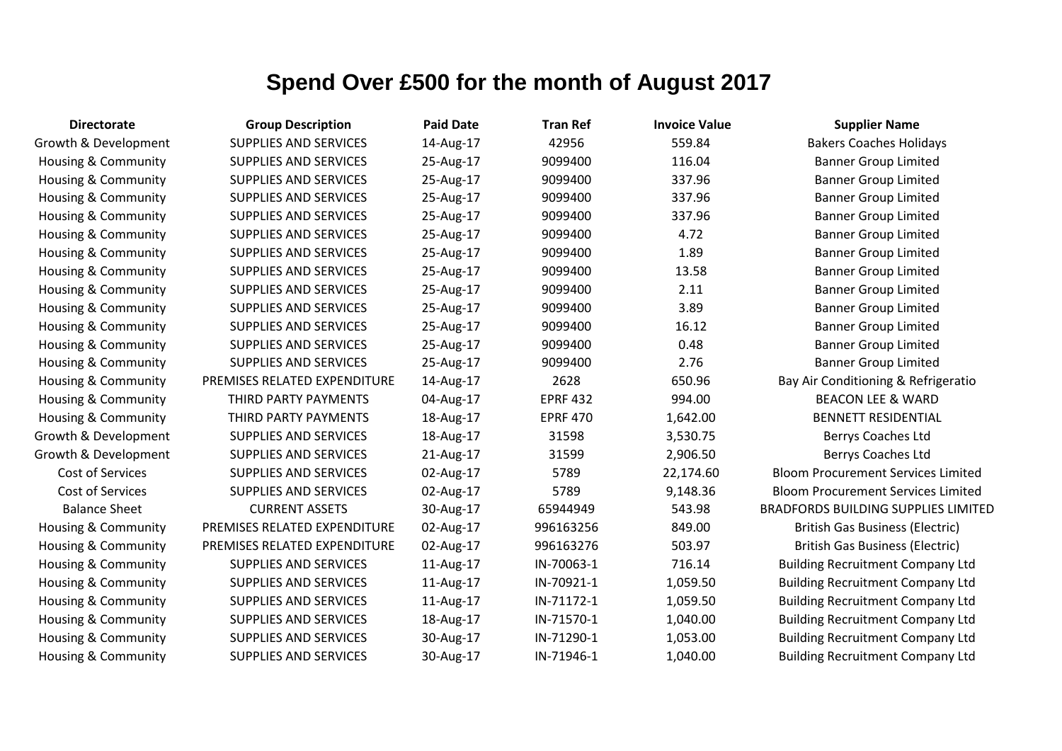| <b>Directorate</b>             | <b>Group Description</b>     | <b>Paid Date</b> | <b>Tran Ref</b> | <b>Invoice Value</b> | <b>Supplier Name</b>                       |
|--------------------------------|------------------------------|------------------|-----------------|----------------------|--------------------------------------------|
| Growth & Development           | <b>SUPPLIES AND SERVICES</b> | 14-Aug-17        | 42956           | 559.84               | <b>Bakers Coaches Holidays</b>             |
| <b>Housing &amp; Community</b> | <b>SUPPLIES AND SERVICES</b> | 25-Aug-17        | 9099400         | 116.04               | <b>Banner Group Limited</b>                |
| Housing & Community            | <b>SUPPLIES AND SERVICES</b> | 25-Aug-17        | 9099400         | 337.96               | <b>Banner Group Limited</b>                |
| Housing & Community            | <b>SUPPLIES AND SERVICES</b> | 25-Aug-17        | 9099400         | 337.96               | <b>Banner Group Limited</b>                |
| Housing & Community            | <b>SUPPLIES AND SERVICES</b> | 25-Aug-17        | 9099400         | 337.96               | <b>Banner Group Limited</b>                |
| Housing & Community            | <b>SUPPLIES AND SERVICES</b> | 25-Aug-17        | 9099400         | 4.72                 | <b>Banner Group Limited</b>                |
| Housing & Community            | <b>SUPPLIES AND SERVICES</b> | 25-Aug-17        | 9099400         | 1.89                 | <b>Banner Group Limited</b>                |
| Housing & Community            | <b>SUPPLIES AND SERVICES</b> | 25-Aug-17        | 9099400         | 13.58                | <b>Banner Group Limited</b>                |
| Housing & Community            | <b>SUPPLIES AND SERVICES</b> | 25-Aug-17        | 9099400         | 2.11                 | <b>Banner Group Limited</b>                |
| Housing & Community            | <b>SUPPLIES AND SERVICES</b> | 25-Aug-17        | 9099400         | 3.89                 | <b>Banner Group Limited</b>                |
| Housing & Community            | <b>SUPPLIES AND SERVICES</b> | 25-Aug-17        | 9099400         | 16.12                | <b>Banner Group Limited</b>                |
| Housing & Community            | SUPPLIES AND SERVICES        | 25-Aug-17        | 9099400         | 0.48                 | <b>Banner Group Limited</b>                |
| Housing & Community            | <b>SUPPLIES AND SERVICES</b> | 25-Aug-17        | 9099400         | 2.76                 | <b>Banner Group Limited</b>                |
| Housing & Community            | PREMISES RELATED EXPENDITURE | 14-Aug-17        | 2628            | 650.96               | Bay Air Conditioning & Refrigeratio        |
| Housing & Community            | THIRD PARTY PAYMENTS         | 04-Aug-17        | <b>EPRF 432</b> | 994.00               | <b>BEACON LEE &amp; WARD</b>               |
| <b>Housing &amp; Community</b> | THIRD PARTY PAYMENTS         | 18-Aug-17        | <b>EPRF 470</b> | 1,642.00             | <b>BENNETT RESIDENTIAL</b>                 |
| Growth & Development           | <b>SUPPLIES AND SERVICES</b> | 18-Aug-17        | 31598           | 3,530.75             | Berrys Coaches Ltd                         |
| Growth & Development           | <b>SUPPLIES AND SERVICES</b> | 21-Aug-17        | 31599           | 2,906.50             | Berrys Coaches Ltd                         |
| Cost of Services               | <b>SUPPLIES AND SERVICES</b> | 02-Aug-17        | 5789            | 22,174.60            | <b>Bloom Procurement Services Limited</b>  |
| Cost of Services               | <b>SUPPLIES AND SERVICES</b> | 02-Aug-17        | 5789            | 9,148.36             | <b>Bloom Procurement Services Limited</b>  |
| <b>Balance Sheet</b>           | <b>CURRENT ASSETS</b>        | 30-Aug-17        | 65944949        | 543.98               | <b>BRADFORDS BUILDING SUPPLIES LIMITED</b> |
| Housing & Community            | PREMISES RELATED EXPENDITURE | 02-Aug-17        | 996163256       | 849.00               | <b>British Gas Business (Electric)</b>     |
| Housing & Community            | PREMISES RELATED EXPENDITURE | 02-Aug-17        | 996163276       | 503.97               | <b>British Gas Business (Electric)</b>     |
| Housing & Community            | <b>SUPPLIES AND SERVICES</b> | 11-Aug-17        | IN-70063-1      | 716.14               | <b>Building Recruitment Company Ltd</b>    |
| <b>Housing &amp; Community</b> | <b>SUPPLIES AND SERVICES</b> | 11-Aug-17        | IN-70921-1      | 1,059.50             | <b>Building Recruitment Company Ltd</b>    |
| Housing & Community            | <b>SUPPLIES AND SERVICES</b> | 11-Aug-17        | IN-71172-1      | 1,059.50             | <b>Building Recruitment Company Ltd</b>    |
| Housing & Community            | SUPPLIES AND SERVICES        | 18-Aug-17        | IN-71570-1      | 1,040.00             | <b>Building Recruitment Company Ltd</b>    |
| Housing & Community            | <b>SUPPLIES AND SERVICES</b> | 30-Aug-17        | IN-71290-1      | 1,053.00             | <b>Building Recruitment Company Ltd</b>    |
| Housing & Community            | <b>SUPPLIES AND SERVICES</b> | 30-Aug-17        | IN-71946-1      | 1,040.00             | <b>Building Recruitment Company Ltd</b>    |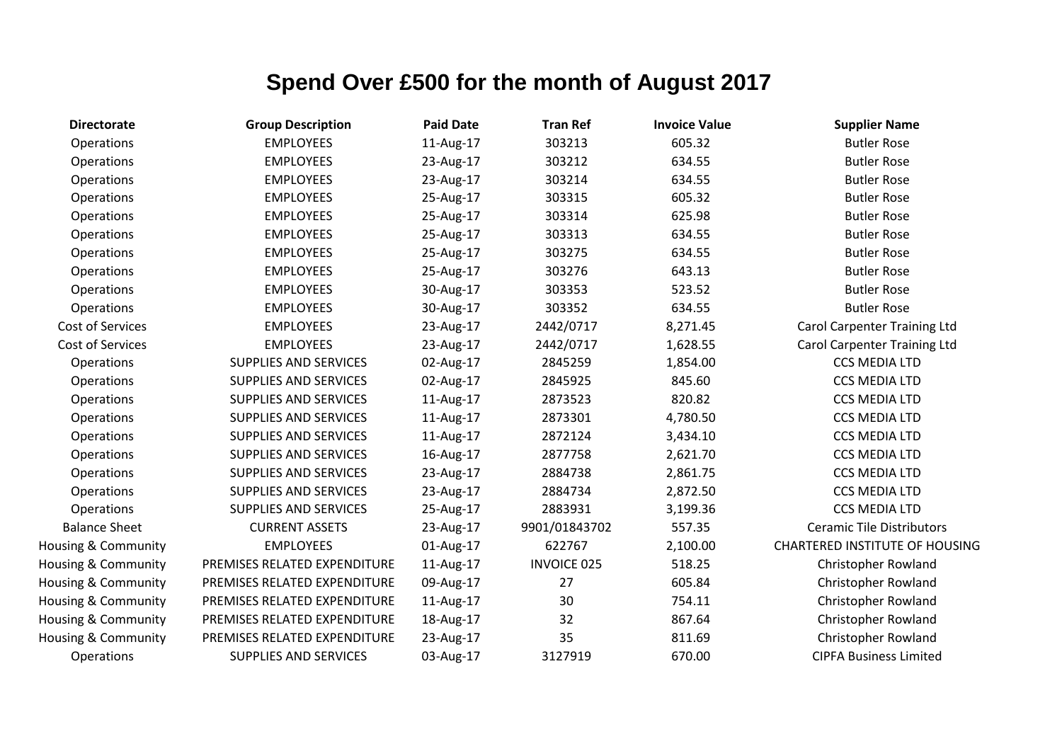| <b>Directorate</b>   | <b>Group Description</b>     | <b>Paid Date</b> | <b>Tran Ref</b>    | <b>Invoice Value</b> | <b>Supplier Name</b>                  |
|----------------------|------------------------------|------------------|--------------------|----------------------|---------------------------------------|
| Operations           | <b>EMPLOYEES</b>             | 11-Aug-17        | 303213             | 605.32               | <b>Butler Rose</b>                    |
| Operations           | <b>EMPLOYEES</b>             | 23-Aug-17        | 303212             | 634.55               | <b>Butler Rose</b>                    |
| Operations           | <b>EMPLOYEES</b>             | 23-Aug-17        | 303214             | 634.55               | <b>Butler Rose</b>                    |
| Operations           | <b>EMPLOYEES</b>             | 25-Aug-17        | 303315             | 605.32               | <b>Butler Rose</b>                    |
| Operations           | <b>EMPLOYEES</b>             | 25-Aug-17        | 303314             | 625.98               | <b>Butler Rose</b>                    |
| Operations           | <b>EMPLOYEES</b>             | 25-Aug-17        | 303313             | 634.55               | <b>Butler Rose</b>                    |
| Operations           | <b>EMPLOYEES</b>             | 25-Aug-17        | 303275             | 634.55               | <b>Butler Rose</b>                    |
| Operations           | <b>EMPLOYEES</b>             | 25-Aug-17        | 303276             | 643.13               | <b>Butler Rose</b>                    |
| Operations           | <b>EMPLOYEES</b>             | 30-Aug-17        | 303353             | 523.52               | <b>Butler Rose</b>                    |
| Operations           | <b>EMPLOYEES</b>             | 30-Aug-17        | 303352             | 634.55               | <b>Butler Rose</b>                    |
| Cost of Services     | <b>EMPLOYEES</b>             | 23-Aug-17        | 2442/0717          | 8,271.45             | <b>Carol Carpenter Training Ltd</b>   |
| Cost of Services     | <b>EMPLOYEES</b>             | 23-Aug-17        | 2442/0717          | 1,628.55             | <b>Carol Carpenter Training Ltd</b>   |
| Operations           | <b>SUPPLIES AND SERVICES</b> | 02-Aug-17        | 2845259            | 1,854.00             | <b>CCS MEDIA LTD</b>                  |
| Operations           | <b>SUPPLIES AND SERVICES</b> | 02-Aug-17        | 2845925            | 845.60               | <b>CCS MEDIA LTD</b>                  |
| Operations           | SUPPLIES AND SERVICES        | 11-Aug-17        | 2873523            | 820.82               | CCS MEDIA LTD                         |
| Operations           | <b>SUPPLIES AND SERVICES</b> | 11-Aug-17        | 2873301            | 4,780.50             | <b>CCS MEDIA LTD</b>                  |
| Operations           | <b>SUPPLIES AND SERVICES</b> | 11-Aug-17        | 2872124            | 3,434.10             | <b>CCS MEDIA LTD</b>                  |
| Operations           | <b>SUPPLIES AND SERVICES</b> | 16-Aug-17        | 2877758            | 2,621.70             | <b>CCS MEDIA LTD</b>                  |
| Operations           | <b>SUPPLIES AND SERVICES</b> | 23-Aug-17        | 2884738            | 2,861.75             | <b>CCS MEDIA LTD</b>                  |
| Operations           | <b>SUPPLIES AND SERVICES</b> | 23-Aug-17        | 2884734            | 2,872.50             | <b>CCS MEDIA LTD</b>                  |
| Operations           | <b>SUPPLIES AND SERVICES</b> | 25-Aug-17        | 2883931            | 3,199.36             | <b>CCS MEDIA LTD</b>                  |
| <b>Balance Sheet</b> | <b>CURRENT ASSETS</b>        | 23-Aug-17        | 9901/01843702      | 557.35               | <b>Ceramic Tile Distributors</b>      |
| Housing & Community  | <b>EMPLOYEES</b>             | 01-Aug-17        | 622767             | 2,100.00             | <b>CHARTERED INSTITUTE OF HOUSING</b> |
| Housing & Community  | PREMISES RELATED EXPENDITURE | 11-Aug-17        | <b>INVOICE 025</b> | 518.25               | Christopher Rowland                   |
| Housing & Community  | PREMISES RELATED EXPENDITURE | 09-Aug-17        | 27                 | 605.84               | Christopher Rowland                   |
| Housing & Community  | PREMISES RELATED EXPENDITURE | 11-Aug-17        | 30                 | 754.11               | Christopher Rowland                   |
| Housing & Community  | PREMISES RELATED EXPENDITURE | 18-Aug-17        | 32                 | 867.64               | Christopher Rowland                   |
| Housing & Community  | PREMISES RELATED EXPENDITURE | 23-Aug-17        | 35                 | 811.69               | Christopher Rowland                   |
| Operations           | <b>SUPPLIES AND SERVICES</b> | 03-Aug-17        | 3127919            | 670.00               | <b>CIPFA Business Limited</b>         |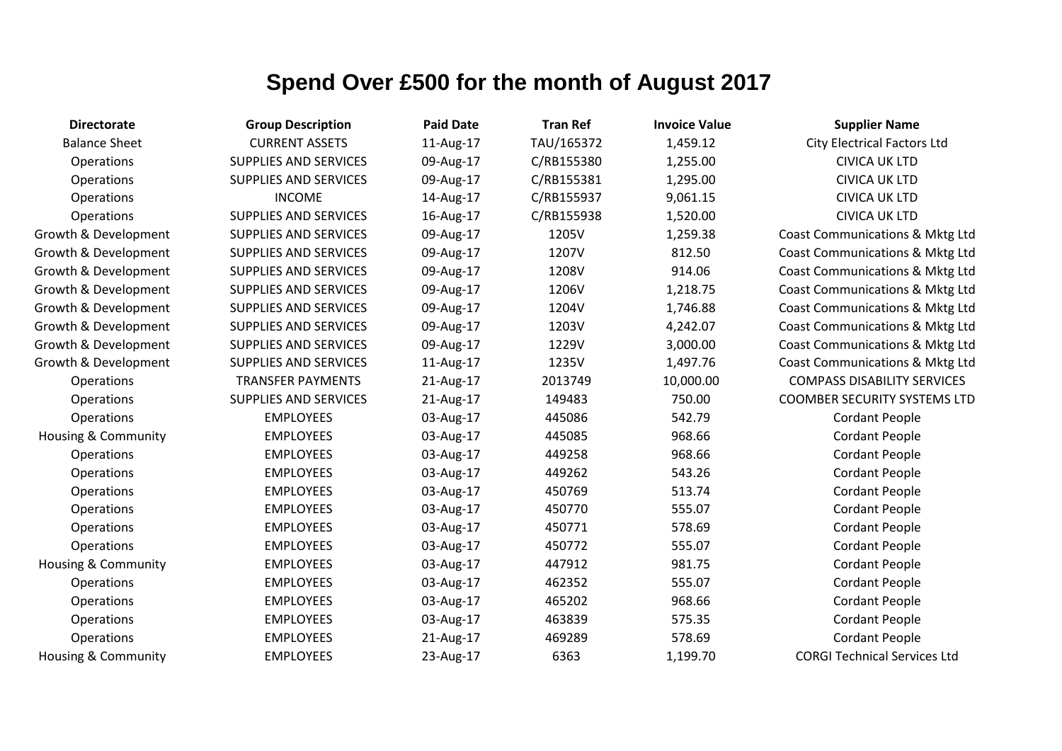| <b>Directorate</b>             | <b>Group Description</b>     | <b>Paid Date</b> | <b>Tran Ref</b> | <b>Invoice Value</b> | <b>Supplier Name</b>                |
|--------------------------------|------------------------------|------------------|-----------------|----------------------|-------------------------------------|
| <b>Balance Sheet</b>           | <b>CURRENT ASSETS</b>        | 11-Aug-17        | TAU/165372      | 1,459.12             | <b>City Electrical Factors Ltd</b>  |
| Operations                     | <b>SUPPLIES AND SERVICES</b> | 09-Aug-17        | C/RB155380      | 1,255.00             | <b>CIVICA UK LTD</b>                |
| Operations                     | <b>SUPPLIES AND SERVICES</b> | 09-Aug-17        | C/RB155381      | 1,295.00             | <b>CIVICA UK LTD</b>                |
| Operations                     | <b>INCOME</b>                | 14-Aug-17        | C/RB155937      | 9,061.15             | <b>CIVICA UK LTD</b>                |
| Operations                     | <b>SUPPLIES AND SERVICES</b> | 16-Aug-17        | C/RB155938      | 1,520.00             | <b>CIVICA UK LTD</b>                |
| Growth & Development           | <b>SUPPLIES AND SERVICES</b> | 09-Aug-17        | 1205V           | 1,259.38             | Coast Communications & Mktg Ltd     |
| Growth & Development           | <b>SUPPLIES AND SERVICES</b> | 09-Aug-17        | 1207V           | 812.50               | Coast Communications & Mktg Ltd     |
| Growth & Development           | <b>SUPPLIES AND SERVICES</b> | 09-Aug-17        | 1208V           | 914.06               | Coast Communications & Mktg Ltd     |
| Growth & Development           | <b>SUPPLIES AND SERVICES</b> | 09-Aug-17        | 1206V           | 1,218.75             | Coast Communications & Mktg Ltd     |
| Growth & Development           | <b>SUPPLIES AND SERVICES</b> | 09-Aug-17        | 1204V           | 1,746.88             | Coast Communications & Mktg Ltd     |
| Growth & Development           | <b>SUPPLIES AND SERVICES</b> | 09-Aug-17        | 1203V           | 4,242.07             | Coast Communications & Mktg Ltd     |
| Growth & Development           | <b>SUPPLIES AND SERVICES</b> | 09-Aug-17        | 1229V           | 3,000.00             | Coast Communications & Mktg Ltd     |
| Growth & Development           | <b>SUPPLIES AND SERVICES</b> | 11-Aug-17        | 1235V           | 1,497.76             | Coast Communications & Mktg Ltd     |
| Operations                     | <b>TRANSFER PAYMENTS</b>     | 21-Aug-17        | 2013749         | 10,000.00            | <b>COMPASS DISABILITY SERVICES</b>  |
| <b>Operations</b>              | <b>SUPPLIES AND SERVICES</b> | 21-Aug-17        | 149483          | 750.00               | <b>COOMBER SECURITY SYSTEMS LTD</b> |
| Operations                     | <b>EMPLOYEES</b>             | 03-Aug-17        | 445086          | 542.79               | <b>Cordant People</b>               |
| <b>Housing &amp; Community</b> | <b>EMPLOYEES</b>             | 03-Aug-17        | 445085          | 968.66               | <b>Cordant People</b>               |
| Operations                     | <b>EMPLOYEES</b>             | 03-Aug-17        | 449258          | 968.66               | <b>Cordant People</b>               |
| Operations                     | <b>EMPLOYEES</b>             | 03-Aug-17        | 449262          | 543.26               | <b>Cordant People</b>               |
| Operations                     | <b>EMPLOYEES</b>             | 03-Aug-17        | 450769          | 513.74               | <b>Cordant People</b>               |
| Operations                     | <b>EMPLOYEES</b>             | 03-Aug-17        | 450770          | 555.07               | <b>Cordant People</b>               |
| Operations                     | <b>EMPLOYEES</b>             | 03-Aug-17        | 450771          | 578.69               | <b>Cordant People</b>               |
| Operations                     | <b>EMPLOYEES</b>             | 03-Aug-17        | 450772          | 555.07               | <b>Cordant People</b>               |
| Housing & Community            | <b>EMPLOYEES</b>             | 03-Aug-17        | 447912          | 981.75               | <b>Cordant People</b>               |
| Operations                     | <b>EMPLOYEES</b>             | 03-Aug-17        | 462352          | 555.07               | <b>Cordant People</b>               |
| Operations                     | <b>EMPLOYEES</b>             | 03-Aug-17        | 465202          | 968.66               | <b>Cordant People</b>               |
| Operations                     | <b>EMPLOYEES</b>             | 03-Aug-17        | 463839          | 575.35               | <b>Cordant People</b>               |
| Operations                     | <b>EMPLOYEES</b>             | 21-Aug-17        | 469289          | 578.69               | <b>Cordant People</b>               |
| <b>Housing &amp; Community</b> | <b>EMPLOYEES</b>             | 23-Aug-17        | 6363            | 1,199.70             | <b>CORGI Technical Services Ltd</b> |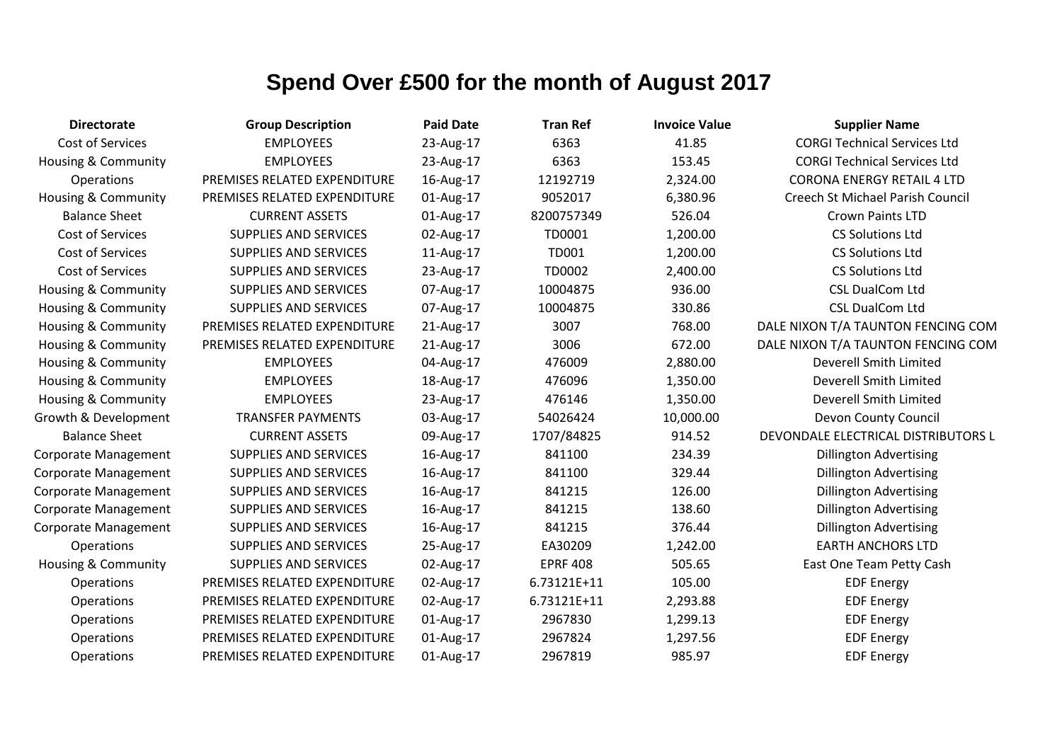| <b>Directorate</b>             | <b>Group Description</b>     | <b>Paid Date</b> | <b>Tran Ref</b> | <b>Invoice Value</b> | <b>Supplier Name</b>                |
|--------------------------------|------------------------------|------------------|-----------------|----------------------|-------------------------------------|
| Cost of Services               | <b>EMPLOYEES</b>             | 23-Aug-17        | 6363            | 41.85                | <b>CORGI Technical Services Ltd</b> |
| Housing & Community            | <b>EMPLOYEES</b>             | 23-Aug-17        | 6363            | 153.45               | <b>CORGI Technical Services Ltd</b> |
| <b>Operations</b>              | PREMISES RELATED EXPENDITURE | 16-Aug-17        | 12192719        | 2,324.00             | <b>CORONA ENERGY RETAIL 4 LTD</b>   |
| <b>Housing &amp; Community</b> | PREMISES RELATED EXPENDITURE | 01-Aug-17        | 9052017         | 6,380.96             | Creech St Michael Parish Council    |
| <b>Balance Sheet</b>           | <b>CURRENT ASSETS</b>        | 01-Aug-17        | 8200757349      | 526.04               | <b>Crown Paints LTD</b>             |
| Cost of Services               | <b>SUPPLIES AND SERVICES</b> | 02-Aug-17        | <b>TD0001</b>   | 1,200.00             | <b>CS Solutions Ltd</b>             |
| Cost of Services               | <b>SUPPLIES AND SERVICES</b> | 11-Aug-17        | <b>TD001</b>    | 1,200.00             | <b>CS Solutions Ltd</b>             |
| <b>Cost of Services</b>        | <b>SUPPLIES AND SERVICES</b> | 23-Aug-17        | TD0002          | 2,400.00             | <b>CS Solutions Ltd</b>             |
| Housing & Community            | <b>SUPPLIES AND SERVICES</b> | 07-Aug-17        | 10004875        | 936.00               | <b>CSL DualCom Ltd</b>              |
| Housing & Community            | <b>SUPPLIES AND SERVICES</b> | 07-Aug-17        | 10004875        | 330.86               | <b>CSL DualCom Ltd</b>              |
| Housing & Community            | PREMISES RELATED EXPENDITURE | 21-Aug-17        | 3007            | 768.00               | DALE NIXON T/A TAUNTON FENCING COM  |
| Housing & Community            | PREMISES RELATED EXPENDITURE | 21-Aug-17        | 3006            | 672.00               | DALE NIXON T/A TAUNTON FENCING COM  |
| <b>Housing &amp; Community</b> | <b>EMPLOYEES</b>             | 04-Aug-17        | 476009          | 2,880.00             | Deverell Smith Limited              |
| <b>Housing &amp; Community</b> | <b>EMPLOYEES</b>             | 18-Aug-17        | 476096          | 1,350.00             | Deverell Smith Limited              |
| Housing & Community            | <b>EMPLOYEES</b>             | 23-Aug-17        | 476146          | 1,350.00             | Deverell Smith Limited              |
| Growth & Development           | <b>TRANSFER PAYMENTS</b>     | 03-Aug-17        | 54026424        | 10,000.00            | Devon County Council                |
| <b>Balance Sheet</b>           | <b>CURRENT ASSETS</b>        | 09-Aug-17        | 1707/84825      | 914.52               | DEVONDALE ELECTRICAL DISTRIBUTORS L |
| <b>Corporate Management</b>    | <b>SUPPLIES AND SERVICES</b> | 16-Aug-17        | 841100          | 234.39               | <b>Dillington Advertising</b>       |
| <b>Corporate Management</b>    | <b>SUPPLIES AND SERVICES</b> | 16-Aug-17        | 841100          | 329.44               | <b>Dillington Advertising</b>       |
| <b>Corporate Management</b>    | <b>SUPPLIES AND SERVICES</b> | 16-Aug-17        | 841215          | 126.00               | <b>Dillington Advertising</b>       |
| <b>Corporate Management</b>    | SUPPLIES AND SERVICES        | 16-Aug-17        | 841215          | 138.60               | <b>Dillington Advertising</b>       |
| <b>Corporate Management</b>    | <b>SUPPLIES AND SERVICES</b> | 16-Aug-17        | 841215          | 376.44               | <b>Dillington Advertising</b>       |
| <b>Operations</b>              | <b>SUPPLIES AND SERVICES</b> | 25-Aug-17        | EA30209         | 1,242.00             | <b>EARTH ANCHORS LTD</b>            |
| Housing & Community            | <b>SUPPLIES AND SERVICES</b> | 02-Aug-17        | <b>EPRF 408</b> | 505.65               | East One Team Petty Cash            |
| Operations                     | PREMISES RELATED EXPENDITURE | 02-Aug-17        | 6.73121E+11     | 105.00               | <b>EDF Energy</b>                   |
| Operations                     | PREMISES RELATED EXPENDITURE | 02-Aug-17        | 6.73121E+11     | 2,293.88             | <b>EDF Energy</b>                   |
| Operations                     | PREMISES RELATED EXPENDITURE | 01-Aug-17        | 2967830         | 1,299.13             | <b>EDF Energy</b>                   |
| Operations                     | PREMISES RELATED EXPENDITURE | 01-Aug-17        | 2967824         | 1,297.56             | <b>EDF Energy</b>                   |
| Operations                     | PREMISES RELATED EXPENDITURE | 01-Aug-17        | 2967819         | 985.97               | <b>EDF Energy</b>                   |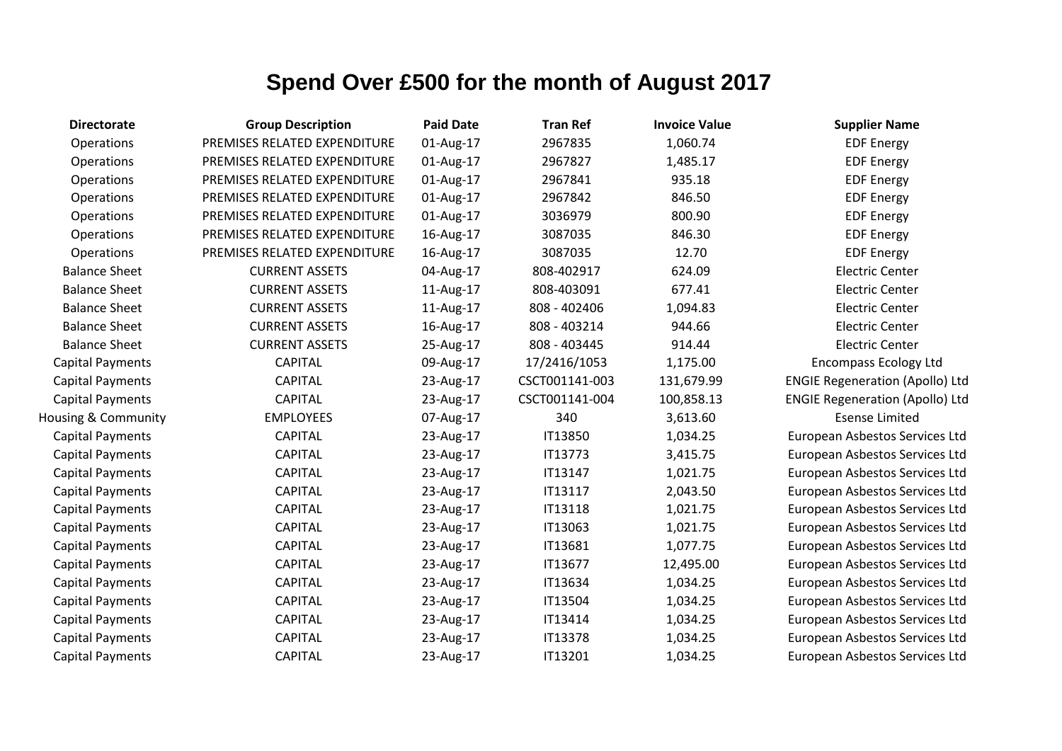| <b>Directorate</b>      | <b>Group Description</b>     | <b>Paid Date</b> | <b>Tran Ref</b> | <b>Invoice Value</b> | <b>Supplier Name</b>                   |
|-------------------------|------------------------------|------------------|-----------------|----------------------|----------------------------------------|
| Operations              | PREMISES RELATED EXPENDITURE | 01-Aug-17        | 2967835         | 1,060.74             | <b>EDF Energy</b>                      |
| Operations              | PREMISES RELATED EXPENDITURE | 01-Aug-17        | 2967827         | 1,485.17             | <b>EDF Energy</b>                      |
| Operations              | PREMISES RELATED EXPENDITURE | 01-Aug-17        | 2967841         | 935.18               | <b>EDF Energy</b>                      |
| Operations              | PREMISES RELATED EXPENDITURE | 01-Aug-17        | 2967842         | 846.50               | <b>EDF Energy</b>                      |
| Operations              | PREMISES RELATED EXPENDITURE | 01-Aug-17        | 3036979         | 800.90               | <b>EDF Energy</b>                      |
| Operations              | PREMISES RELATED EXPENDITURE | 16-Aug-17        | 3087035         | 846.30               | <b>EDF Energy</b>                      |
| Operations              | PREMISES RELATED EXPENDITURE | 16-Aug-17        | 3087035         | 12.70                | <b>EDF Energy</b>                      |
| <b>Balance Sheet</b>    | <b>CURRENT ASSETS</b>        | 04-Aug-17        | 808-402917      | 624.09               | <b>Electric Center</b>                 |
| <b>Balance Sheet</b>    | <b>CURRENT ASSETS</b>        | 11-Aug-17        | 808-403091      | 677.41               | <b>Electric Center</b>                 |
| <b>Balance Sheet</b>    | <b>CURRENT ASSETS</b>        | 11-Aug-17        | 808 - 402406    | 1,094.83             | <b>Electric Center</b>                 |
| <b>Balance Sheet</b>    | <b>CURRENT ASSETS</b>        | 16-Aug-17        | 808 - 403214    | 944.66               | <b>Electric Center</b>                 |
| <b>Balance Sheet</b>    | <b>CURRENT ASSETS</b>        | 25-Aug-17        | 808 - 403445    | 914.44               | <b>Electric Center</b>                 |
| <b>Capital Payments</b> | <b>CAPITAL</b>               | 09-Aug-17        | 17/2416/1053    | 1,175.00             | <b>Encompass Ecology Ltd</b>           |
| Capital Payments        | <b>CAPITAL</b>               | 23-Aug-17        | CSCT001141-003  | 131,679.99           | <b>ENGIE Regeneration (Apollo) Ltd</b> |
| <b>Capital Payments</b> | <b>CAPITAL</b>               | 23-Aug-17        | CSCT001141-004  | 100,858.13           | <b>ENGIE Regeneration (Apollo) Ltd</b> |
| Housing & Community     | <b>EMPLOYEES</b>             | 07-Aug-17        | 340             | 3,613.60             | <b>Esense Limited</b>                  |
| Capital Payments        | <b>CAPITAL</b>               | 23-Aug-17        | IT13850         | 1,034.25             | European Asbestos Services Ltd         |
| Capital Payments        | <b>CAPITAL</b>               | 23-Aug-17        | <b>IT13773</b>  | 3,415.75             | European Asbestos Services Ltd         |
| <b>Capital Payments</b> | <b>CAPITAL</b>               | 23-Aug-17        | IT13147         | 1,021.75             | European Asbestos Services Ltd         |
| Capital Payments        | <b>CAPITAL</b>               | 23-Aug-17        | IT13117         | 2,043.50             | European Asbestos Services Ltd         |
| Capital Payments        | <b>CAPITAL</b>               | 23-Aug-17        | <b>IT13118</b>  | 1,021.75             | European Asbestos Services Ltd         |
| <b>Capital Payments</b> | <b>CAPITAL</b>               | 23-Aug-17        | IT13063         | 1,021.75             | European Asbestos Services Ltd         |
| Capital Payments        | <b>CAPITAL</b>               | 23-Aug-17        | IT13681         | 1,077.75             | European Asbestos Services Ltd         |
| <b>Capital Payments</b> | <b>CAPITAL</b>               | 23-Aug-17        | IT13677         | 12,495.00            | European Asbestos Services Ltd         |
| <b>Capital Payments</b> | <b>CAPITAL</b>               | 23-Aug-17        | IT13634         | 1,034.25             | European Asbestos Services Ltd         |
| <b>Capital Payments</b> | <b>CAPITAL</b>               | 23-Aug-17        | IT13504         | 1,034.25             | European Asbestos Services Ltd         |
| <b>Capital Payments</b> | <b>CAPITAL</b>               | 23-Aug-17        | IT13414         | 1,034.25             | European Asbestos Services Ltd         |
| <b>Capital Payments</b> | <b>CAPITAL</b>               | 23-Aug-17        | <b>IT13378</b>  | 1,034.25             | European Asbestos Services Ltd         |
| <b>Capital Payments</b> | <b>CAPITAL</b>               | 23-Aug-17        | IT13201         | 1,034.25             | European Asbestos Services Ltd         |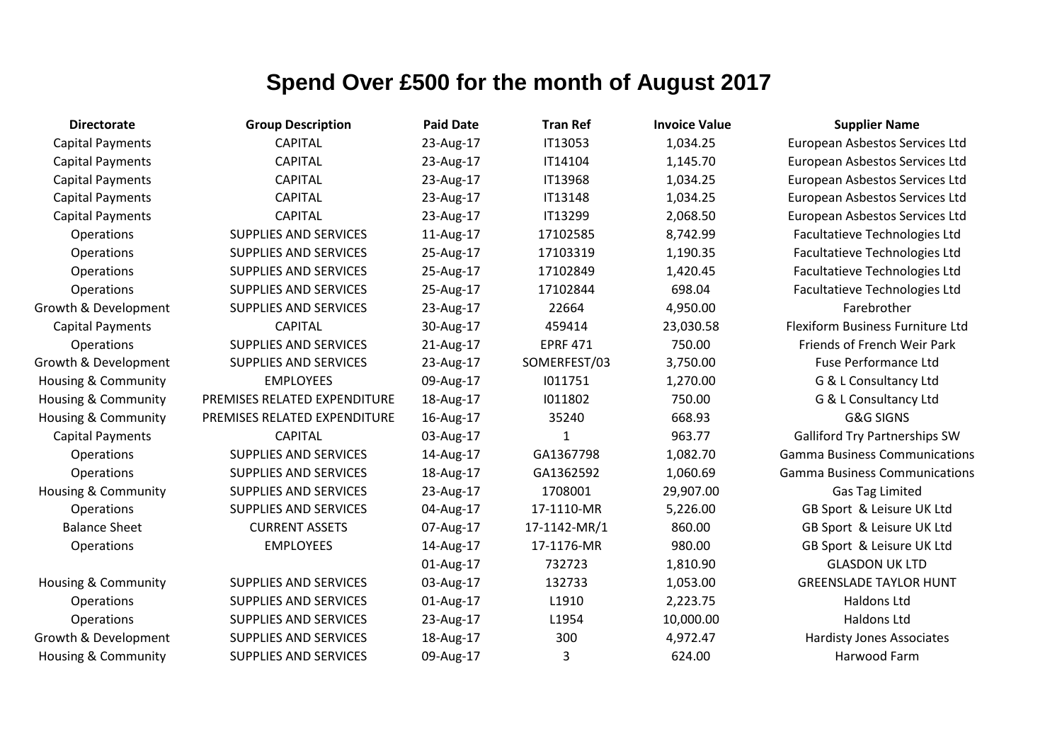| <b>Directorate</b>             | <b>Group Description</b>     | <b>Paid Date</b> | <b>Tran Ref</b> | <b>Invoice Value</b> | <b>Supplier Name</b>                 |
|--------------------------------|------------------------------|------------------|-----------------|----------------------|--------------------------------------|
| <b>Capital Payments</b>        | <b>CAPITAL</b>               | 23-Aug-17        | IT13053         | 1,034.25             | European Asbestos Services Ltd       |
| <b>Capital Payments</b>        | <b>CAPITAL</b>               | 23-Aug-17        | IT14104         | 1,145.70             | European Asbestos Services Ltd       |
| <b>Capital Payments</b>        | <b>CAPITAL</b>               | 23-Aug-17        | IT13968         | 1,034.25             | European Asbestos Services Ltd       |
| <b>Capital Payments</b>        | <b>CAPITAL</b>               | 23-Aug-17        | IT13148         | 1,034.25             | European Asbestos Services Ltd       |
| <b>Capital Payments</b>        | <b>CAPITAL</b>               | 23-Aug-17        | IT13299         | 2,068.50             | European Asbestos Services Ltd       |
| Operations                     | <b>SUPPLIES AND SERVICES</b> | 11-Aug-17        | 17102585        | 8,742.99             | Facultatieve Technologies Ltd        |
| Operations                     | <b>SUPPLIES AND SERVICES</b> | 25-Aug-17        | 17103319        | 1,190.35             | Facultatieve Technologies Ltd        |
| Operations                     | <b>SUPPLIES AND SERVICES</b> | 25-Aug-17        | 17102849        | 1,420.45             | Facultatieve Technologies Ltd        |
| Operations                     | <b>SUPPLIES AND SERVICES</b> | 25-Aug-17        | 17102844        | 698.04               | Facultatieve Technologies Ltd        |
| Growth & Development           | <b>SUPPLIES AND SERVICES</b> | 23-Aug-17        | 22664           | 4,950.00             | Farebrother                          |
| <b>Capital Payments</b>        | <b>CAPITAL</b>               | 30-Aug-17        | 459414          | 23,030.58            | Flexiform Business Furniture Ltd     |
| <b>Operations</b>              | <b>SUPPLIES AND SERVICES</b> | 21-Aug-17        | <b>EPRF 471</b> | 750.00               | Friends of French Weir Park          |
| Growth & Development           | <b>SUPPLIES AND SERVICES</b> | 23-Aug-17        | SOMERFEST/03    | 3,750.00             | <b>Fuse Performance Ltd</b>          |
| <b>Housing &amp; Community</b> | <b>EMPLOYEES</b>             | 09-Aug-17        | 1011751         | 1,270.00             | G & L Consultancy Ltd                |
| <b>Housing &amp; Community</b> | PREMISES RELATED EXPENDITURE | 18-Aug-17        | 1011802         | 750.00               | G & L Consultancy Ltd                |
| <b>Housing &amp; Community</b> | PREMISES RELATED EXPENDITURE | 16-Aug-17        | 35240           | 668.93               | <b>G&amp;G SIGNS</b>                 |
| <b>Capital Payments</b>        | <b>CAPITAL</b>               | 03-Aug-17        | $\mathbf{1}$    | 963.77               | <b>Galliford Try Partnerships SW</b> |
| Operations                     | <b>SUPPLIES AND SERVICES</b> | 14-Aug-17        | GA1367798       | 1,082.70             | <b>Gamma Business Communications</b> |
| Operations                     | <b>SUPPLIES AND SERVICES</b> | 18-Aug-17        | GA1362592       | 1,060.69             | <b>Gamma Business Communications</b> |
| Housing & Community            | <b>SUPPLIES AND SERVICES</b> | 23-Aug-17        | 1708001         | 29,907.00            | Gas Tag Limited                      |
| Operations                     | <b>SUPPLIES AND SERVICES</b> | 04-Aug-17        | 17-1110-MR      | 5,226.00             | GB Sport & Leisure UK Ltd            |
| <b>Balance Sheet</b>           | <b>CURRENT ASSETS</b>        | 07-Aug-17        | 17-1142-MR/1    | 860.00               | GB Sport & Leisure UK Ltd            |
| Operations                     | <b>EMPLOYEES</b>             | 14-Aug-17        | 17-1176-MR      | 980.00               | GB Sport & Leisure UK Ltd            |
|                                |                              | 01-Aug-17        | 732723          | 1,810.90             | <b>GLASDON UK LTD</b>                |
| <b>Housing &amp; Community</b> | <b>SUPPLIES AND SERVICES</b> | 03-Aug-17        | 132733          | 1,053.00             | <b>GREENSLADE TAYLOR HUNT</b>        |
| Operations                     | <b>SUPPLIES AND SERVICES</b> | 01-Aug-17        | L1910           | 2,223.75             | Haldons Ltd                          |
| Operations                     | <b>SUPPLIES AND SERVICES</b> | 23-Aug-17        | L1954           | 10,000.00            | Haldons Ltd                          |
| Growth & Development           | <b>SUPPLIES AND SERVICES</b> | 18-Aug-17        | 300             | 4,972.47             | <b>Hardisty Jones Associates</b>     |
| Housing & Community            | <b>SUPPLIES AND SERVICES</b> | 09-Aug-17        | 3               | 624.00               | Harwood Farm                         |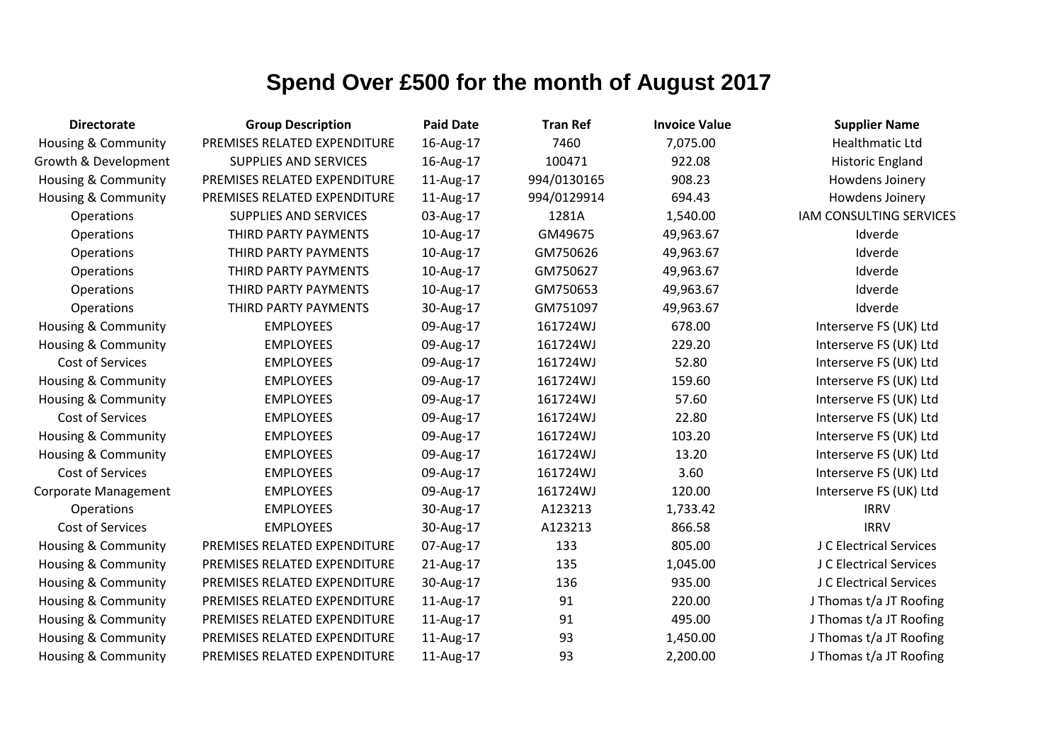| <b>Directorate</b>             | <b>Group Description</b>     | <b>Paid Date</b> | <b>Tran Ref</b> | <b>Invoice Value</b> | <b>Supplier Name</b>    |
|--------------------------------|------------------------------|------------------|-----------------|----------------------|-------------------------|
| <b>Housing &amp; Community</b> | PREMISES RELATED EXPENDITURE | 16-Aug-17        | 7460            | 7,075.00             | <b>Healthmatic Ltd</b>  |
| Growth & Development           | <b>SUPPLIES AND SERVICES</b> | 16-Aug-17        | 100471          | 922.08               | <b>Historic England</b> |
| Housing & Community            | PREMISES RELATED EXPENDITURE | 11-Aug-17        | 994/0130165     | 908.23               | Howdens Joinery         |
| Housing & Community            | PREMISES RELATED EXPENDITURE | 11-Aug-17        | 994/0129914     | 694.43               | Howdens Joinery         |
| Operations                     | <b>SUPPLIES AND SERVICES</b> | 03-Aug-17        | 1281A           | 1,540.00             | IAM CONSULTING SERVICES |
| Operations                     | THIRD PARTY PAYMENTS         | 10-Aug-17        | GM49675         | 49,963.67            | Idverde                 |
| Operations                     | THIRD PARTY PAYMENTS         | 10-Aug-17        | GM750626        | 49,963.67            | Idverde                 |
| Operations                     | THIRD PARTY PAYMENTS         | 10-Aug-17        | GM750627        | 49,963.67            | Idverde                 |
| Operations                     | THIRD PARTY PAYMENTS         | 10-Aug-17        | GM750653        | 49,963.67            | Idverde                 |
| Operations                     | THIRD PARTY PAYMENTS         | 30-Aug-17        | GM751097        | 49,963.67            | Idverde                 |
| <b>Housing &amp; Community</b> | <b>EMPLOYEES</b>             | 09-Aug-17        | 161724WJ        | 678.00               | Interserve FS (UK) Ltd  |
| <b>Housing &amp; Community</b> | <b>EMPLOYEES</b>             | 09-Aug-17        | 161724WJ        | 229.20               | Interserve FS (UK) Ltd  |
| Cost of Services               | <b>EMPLOYEES</b>             | 09-Aug-17        | 161724WJ        | 52.80                | Interserve FS (UK) Ltd  |
| <b>Housing &amp; Community</b> | <b>EMPLOYEES</b>             | 09-Aug-17        | 161724WJ        | 159.60               | Interserve FS (UK) Ltd  |
| <b>Housing &amp; Community</b> | <b>EMPLOYEES</b>             | 09-Aug-17        | 161724WJ        | 57.60                | Interserve FS (UK) Ltd  |
| Cost of Services               | <b>EMPLOYEES</b>             | 09-Aug-17        | 161724WJ        | 22.80                | Interserve FS (UK) Ltd  |
| <b>Housing &amp; Community</b> | <b>EMPLOYEES</b>             | 09-Aug-17        | 161724WJ        | 103.20               | Interserve FS (UK) Ltd  |
| Housing & Community            | <b>EMPLOYEES</b>             | 09-Aug-17        | 161724WJ        | 13.20                | Interserve FS (UK) Ltd  |
| Cost of Services               | <b>EMPLOYEES</b>             | 09-Aug-17        | 161724WJ        | 3.60                 | Interserve FS (UK) Ltd  |
| <b>Corporate Management</b>    | <b>EMPLOYEES</b>             | 09-Aug-17        | 161724WJ        | 120.00               | Interserve FS (UK) Ltd  |
| Operations                     | <b>EMPLOYEES</b>             | 30-Aug-17        | A123213         | 1,733.42             | <b>IRRV</b>             |
| Cost of Services               | <b>EMPLOYEES</b>             | 30-Aug-17        | A123213         | 866.58               | <b>IRRV</b>             |
| Housing & Community            | PREMISES RELATED EXPENDITURE | 07-Aug-17        | 133             | 805.00               | J C Electrical Services |
| <b>Housing &amp; Community</b> | PREMISES RELATED EXPENDITURE | 21-Aug-17        | 135             | 1,045.00             | J C Electrical Services |
| <b>Housing &amp; Community</b> | PREMISES RELATED EXPENDITURE | 30-Aug-17        | 136             | 935.00               | J C Electrical Services |
| <b>Housing &amp; Community</b> | PREMISES RELATED EXPENDITURE | 11-Aug-17        | 91              | 220.00               | J Thomas t/a JT Roofing |
| Housing & Community            | PREMISES RELATED EXPENDITURE | 11-Aug-17        | 91              | 495.00               | J Thomas t/a JT Roofing |
| <b>Housing &amp; Community</b> | PREMISES RELATED EXPENDITURE | 11-Aug-17        | 93              | 1,450.00             | J Thomas t/a JT Roofing |
| <b>Housing &amp; Community</b> | PREMISES RELATED EXPENDITURE | 11-Aug-17        | 93              | 2,200.00             | J Thomas t/a JT Roofing |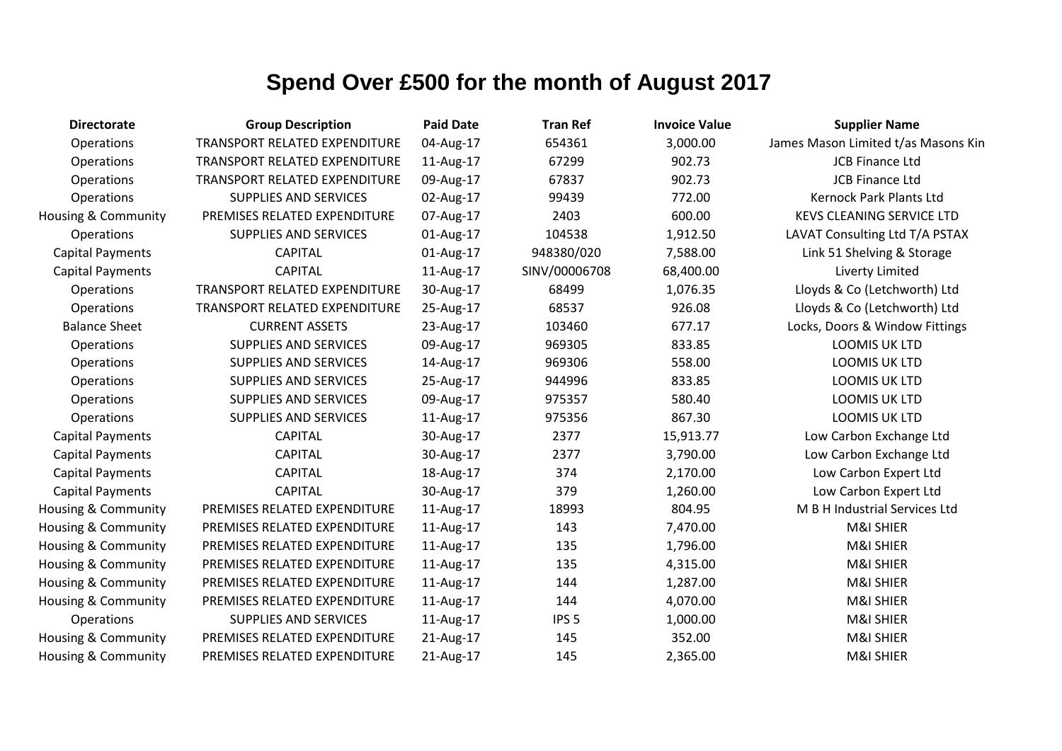| <b>Directorate</b>             | <b>Group Description</b>             | <b>Paid Date</b> | <b>Tran Ref</b>  | <b>Invoice Value</b> | <b>Supplier Name</b>                |
|--------------------------------|--------------------------------------|------------------|------------------|----------------------|-------------------------------------|
| Operations                     | <b>TRANSPORT RELATED EXPENDITURE</b> | 04-Aug-17        | 654361           | 3,000.00             | James Mason Limited t/as Masons Kin |
| Operations                     | TRANSPORT RELATED EXPENDITURE        | 11-Aug-17        | 67299            | 902.73               | <b>JCB Finance Ltd</b>              |
| Operations                     | TRANSPORT RELATED EXPENDITURE        | 09-Aug-17        | 67837            | 902.73               | <b>JCB Finance Ltd</b>              |
| Operations                     | <b>SUPPLIES AND SERVICES</b>         | 02-Aug-17        | 99439            | 772.00               | <b>Kernock Park Plants Ltd</b>      |
| <b>Housing &amp; Community</b> | PREMISES RELATED EXPENDITURE         | 07-Aug-17        | 2403             | 600.00               | <b>KEVS CLEANING SERVICE LTD</b>    |
| Operations                     | <b>SUPPLIES AND SERVICES</b>         | 01-Aug-17        | 104538           | 1,912.50             | LAVAT Consulting Ltd T/A PSTAX      |
| <b>Capital Payments</b>        | <b>CAPITAL</b>                       | 01-Aug-17        | 948380/020       | 7,588.00             | Link 51 Shelving & Storage          |
| <b>Capital Payments</b>        | <b>CAPITAL</b>                       | 11-Aug-17        | SINV/00006708    | 68,400.00            | Liverty Limited                     |
| Operations                     | TRANSPORT RELATED EXPENDITURE        | 30-Aug-17        | 68499            | 1,076.35             | Lloyds & Co (Letchworth) Ltd        |
| Operations                     | TRANSPORT RELATED EXPENDITURE        | 25-Aug-17        | 68537            | 926.08               | Lloyds & Co (Letchworth) Ltd        |
| <b>Balance Sheet</b>           | <b>CURRENT ASSETS</b>                | 23-Aug-17        | 103460           | 677.17               | Locks, Doors & Window Fittings      |
| Operations                     | <b>SUPPLIES AND SERVICES</b>         | 09-Aug-17        | 969305           | 833.85               | <b>LOOMIS UK LTD</b>                |
| Operations                     | SUPPLIES AND SERVICES                | 14-Aug-17        | 969306           | 558.00               | LOOMIS UK LTD                       |
| Operations                     | <b>SUPPLIES AND SERVICES</b>         | 25-Aug-17        | 944996           | 833.85               | <b>LOOMIS UK LTD</b>                |
| Operations                     | SUPPLIES AND SERVICES                | 09-Aug-17        | 975357           | 580.40               | <b>LOOMIS UK LTD</b>                |
| Operations                     | <b>SUPPLIES AND SERVICES</b>         | 11-Aug-17        | 975356           | 867.30               | LOOMIS UK LTD                       |
| <b>Capital Payments</b>        | <b>CAPITAL</b>                       | 30-Aug-17        | 2377             | 15,913.77            | Low Carbon Exchange Ltd             |
| <b>Capital Payments</b>        | <b>CAPITAL</b>                       | 30-Aug-17        | 2377             | 3,790.00             | Low Carbon Exchange Ltd             |
| <b>Capital Payments</b>        | <b>CAPITAL</b>                       | 18-Aug-17        | 374              | 2,170.00             | Low Carbon Expert Ltd               |
| <b>Capital Payments</b>        | <b>CAPITAL</b>                       | 30-Aug-17        | 379              | 1,260.00             | Low Carbon Expert Ltd               |
| Housing & Community            | PREMISES RELATED EXPENDITURE         | 11-Aug-17        | 18993            | 804.95               | M B H Industrial Services Ltd       |
| <b>Housing &amp; Community</b> | PREMISES RELATED EXPENDITURE         | 11-Aug-17        | 143              | 7,470.00             | <b>M&amp;I SHIER</b>                |
| <b>Housing &amp; Community</b> | PREMISES RELATED EXPENDITURE         | 11-Aug-17        | 135              | 1,796.00             | M&I SHIER                           |
| <b>Housing &amp; Community</b> | PREMISES RELATED EXPENDITURE         | 11-Aug-17        | 135              | 4,315.00             | <b>M&amp;I SHIER</b>                |
| <b>Housing &amp; Community</b> | PREMISES RELATED EXPENDITURE         | 11-Aug-17        | 144              | 1,287.00             | <b>M&amp;I SHIER</b>                |
| <b>Housing &amp; Community</b> | PREMISES RELATED EXPENDITURE         | 11-Aug-17        | 144              | 4,070.00             | <b>M&amp;I SHIER</b>                |
| Operations                     | SUPPLIES AND SERVICES                | 11-Aug-17        | IPS <sub>5</sub> | 1,000.00             | <b>M&amp;I SHIER</b>                |
| <b>Housing &amp; Community</b> | PREMISES RELATED EXPENDITURE         | 21-Aug-17        | 145              | 352.00               | <b>M&amp;I SHIER</b>                |
| Housing & Community            | PREMISES RELATED EXPENDITURE         | 21-Aug-17        | 145              | 2,365.00             | M&I SHIER                           |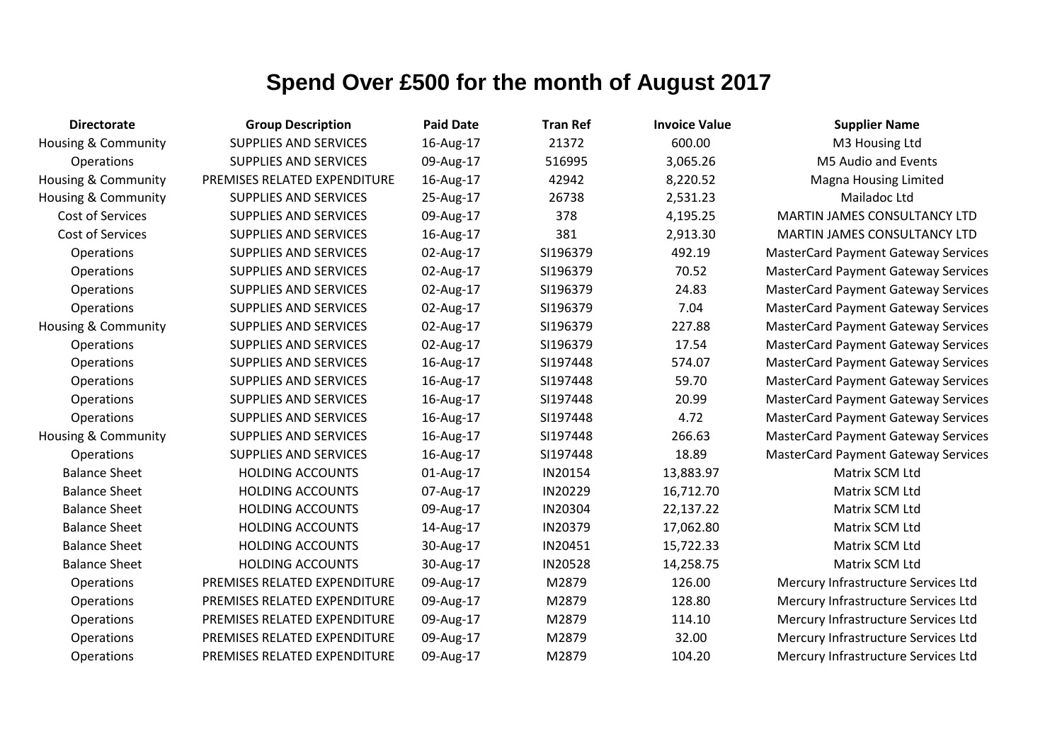| <b>Directorate</b>             | <b>Group Description</b>     | <b>Paid Date</b> | <b>Tran Ref</b> | <b>Invoice Value</b> | <b>Supplier Name</b>                       |
|--------------------------------|------------------------------|------------------|-----------------|----------------------|--------------------------------------------|
| <b>Housing &amp; Community</b> | <b>SUPPLIES AND SERVICES</b> | 16-Aug-17        | 21372           | 600.00               | M3 Housing Ltd                             |
| <b>Operations</b>              | <b>SUPPLIES AND SERVICES</b> | 09-Aug-17        | 516995          | 3,065.26             | M5 Audio and Events                        |
| Housing & Community            | PREMISES RELATED EXPENDITURE | 16-Aug-17        | 42942           | 8,220.52             | <b>Magna Housing Limited</b>               |
| <b>Housing &amp; Community</b> | <b>SUPPLIES AND SERVICES</b> | 25-Aug-17        | 26738           | 2,531.23             | Mailadoc Ltd                               |
| Cost of Services               | SUPPLIES AND SERVICES        | 09-Aug-17        | 378             | 4,195.25             | MARTIN JAMES CONSULTANCY LTD               |
| Cost of Services               | <b>SUPPLIES AND SERVICES</b> | 16-Aug-17        | 381             | 2,913.30             | MARTIN JAMES CONSULTANCY LTD               |
| <b>Operations</b>              | <b>SUPPLIES AND SERVICES</b> | 02-Aug-17        | SI196379        | 492.19               | <b>MasterCard Payment Gateway Services</b> |
| Operations                     | SUPPLIES AND SERVICES        | 02-Aug-17        | SI196379        | 70.52                | <b>MasterCard Payment Gateway Services</b> |
| Operations                     | SUPPLIES AND SERVICES        | 02-Aug-17        | SI196379        | 24.83                | <b>MasterCard Payment Gateway Services</b> |
| Operations                     | <b>SUPPLIES AND SERVICES</b> | 02-Aug-17        | SI196379        | 7.04                 | <b>MasterCard Payment Gateway Services</b> |
| Housing & Community            | SUPPLIES AND SERVICES        | 02-Aug-17        | SI196379        | 227.88               | <b>MasterCard Payment Gateway Services</b> |
| <b>Operations</b>              | <b>SUPPLIES AND SERVICES</b> | 02-Aug-17        | SI196379        | 17.54                | <b>MasterCard Payment Gateway Services</b> |
| Operations                     | <b>SUPPLIES AND SERVICES</b> | 16-Aug-17        | SI197448        | 574.07               | <b>MasterCard Payment Gateway Services</b> |
| Operations                     | <b>SUPPLIES AND SERVICES</b> | 16-Aug-17        | SI197448        | 59.70                | <b>MasterCard Payment Gateway Services</b> |
| <b>Operations</b>              | SUPPLIES AND SERVICES        | 16-Aug-17        | SI197448        | 20.99                | <b>MasterCard Payment Gateway Services</b> |
| Operations                     | <b>SUPPLIES AND SERVICES</b> | 16-Aug-17        | SI197448        | 4.72                 | <b>MasterCard Payment Gateway Services</b> |
| <b>Housing &amp; Community</b> | <b>SUPPLIES AND SERVICES</b> | 16-Aug-17        | SI197448        | 266.63               | <b>MasterCard Payment Gateway Services</b> |
| <b>Operations</b>              | <b>SUPPLIES AND SERVICES</b> | 16-Aug-17        | SI197448        | 18.89                | <b>MasterCard Payment Gateway Services</b> |
| <b>Balance Sheet</b>           | <b>HOLDING ACCOUNTS</b>      | 01-Aug-17        | IN20154         | 13,883.97            | Matrix SCM Ltd                             |
| <b>Balance Sheet</b>           | <b>HOLDING ACCOUNTS</b>      | 07-Aug-17        | IN20229         | 16,712.70            | Matrix SCM Ltd                             |
| <b>Balance Sheet</b>           | <b>HOLDING ACCOUNTS</b>      | 09-Aug-17        | IN20304         | 22,137.22            | Matrix SCM Ltd                             |
| <b>Balance Sheet</b>           | <b>HOLDING ACCOUNTS</b>      | 14-Aug-17        | IN20379         | 17,062.80            | Matrix SCM Ltd                             |
| <b>Balance Sheet</b>           | <b>HOLDING ACCOUNTS</b>      | 30-Aug-17        | IN20451         | 15,722.33            | Matrix SCM Ltd                             |
| <b>Balance Sheet</b>           | <b>HOLDING ACCOUNTS</b>      | 30-Aug-17        | <b>IN20528</b>  | 14,258.75            | Matrix SCM Ltd                             |
| Operations                     | PREMISES RELATED EXPENDITURE | 09-Aug-17        | M2879           | 126.00               | Mercury Infrastructure Services Ltd        |
| <b>Operations</b>              | PREMISES RELATED EXPENDITURE | 09-Aug-17        | M2879           | 128.80               | Mercury Infrastructure Services Ltd        |
| Operations                     | PREMISES RELATED EXPENDITURE | 09-Aug-17        | M2879           | 114.10               | Mercury Infrastructure Services Ltd        |
| Operations                     | PREMISES RELATED EXPENDITURE | 09-Aug-17        | M2879           | 32.00                | Mercury Infrastructure Services Ltd        |
| Operations                     | PREMISES RELATED EXPENDITURE | 09-Aug-17        | M2879           | 104.20               | Mercury Infrastructure Services Ltd        |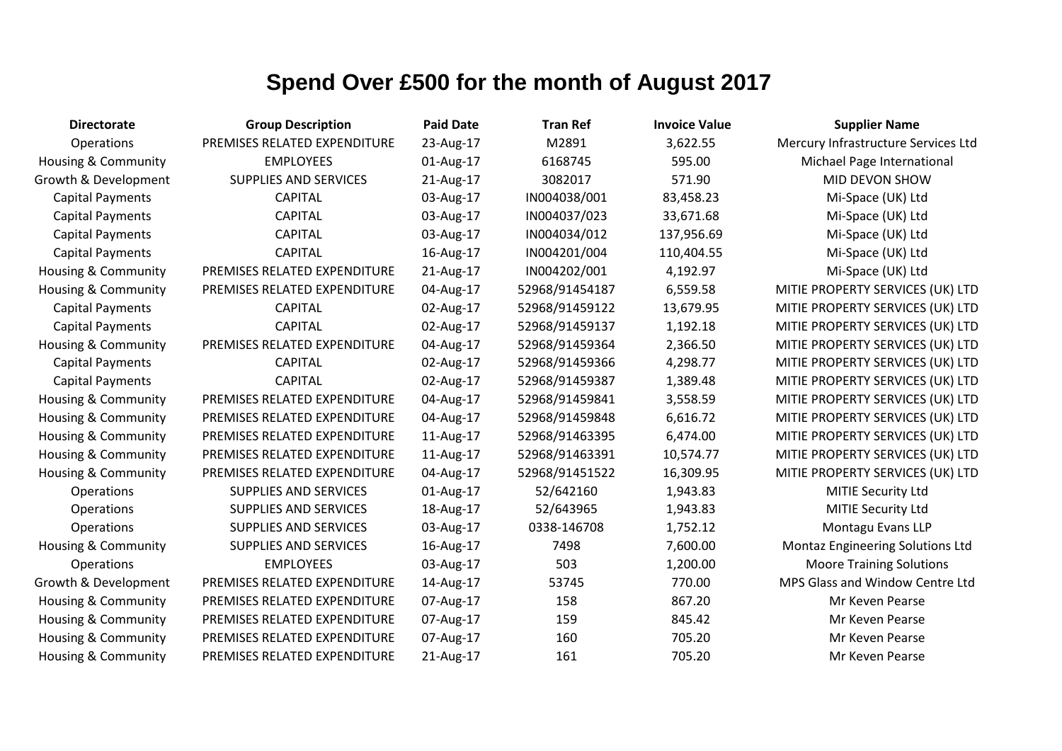| <b>Directorate</b>             | <b>Group Description</b>     | <b>Paid Date</b> | <b>Tran Ref</b> | <b>Invoice Value</b> | <b>Supplier Name</b>                |
|--------------------------------|------------------------------|------------------|-----------------|----------------------|-------------------------------------|
| Operations                     | PREMISES RELATED EXPENDITURE | 23-Aug-17        | M2891           | 3,622.55             | Mercury Infrastructure Services Ltd |
| <b>Housing &amp; Community</b> | <b>EMPLOYEES</b>             | 01-Aug-17        | 6168745         | 595.00               | Michael Page International          |
| Growth & Development           | <b>SUPPLIES AND SERVICES</b> | 21-Aug-17        | 3082017         | 571.90               | MID DEVON SHOW                      |
| <b>Capital Payments</b>        | <b>CAPITAL</b>               | 03-Aug-17        | IN004038/001    | 83,458.23            | Mi-Space (UK) Ltd                   |
| <b>Capital Payments</b>        | <b>CAPITAL</b>               | 03-Aug-17        | IN004037/023    | 33,671.68            | Mi-Space (UK) Ltd                   |
| <b>Capital Payments</b>        | <b>CAPITAL</b>               | 03-Aug-17        | IN004034/012    | 137,956.69           | Mi-Space (UK) Ltd                   |
| <b>Capital Payments</b>        | <b>CAPITAL</b>               | 16-Aug-17        | IN004201/004    | 110,404.55           | Mi-Space (UK) Ltd                   |
| Housing & Community            | PREMISES RELATED EXPENDITURE | 21-Aug-17        | IN004202/001    | 4,192.97             | Mi-Space (UK) Ltd                   |
| <b>Housing &amp; Community</b> | PREMISES RELATED EXPENDITURE | 04-Aug-17        | 52968/91454187  | 6,559.58             | MITIE PROPERTY SERVICES (UK) LTD    |
| <b>Capital Payments</b>        | <b>CAPITAL</b>               | 02-Aug-17        | 52968/91459122  | 13,679.95            | MITIE PROPERTY SERVICES (UK) LTD    |
| <b>Capital Payments</b>        | <b>CAPITAL</b>               | 02-Aug-17        | 52968/91459137  | 1,192.18             | MITIE PROPERTY SERVICES (UK) LTD    |
| Housing & Community            | PREMISES RELATED EXPENDITURE | 04-Aug-17        | 52968/91459364  | 2,366.50             | MITIE PROPERTY SERVICES (UK) LTD    |
| <b>Capital Payments</b>        | <b>CAPITAL</b>               | 02-Aug-17        | 52968/91459366  | 4,298.77             | MITIE PROPERTY SERVICES (UK) LTD    |
| <b>Capital Payments</b>        | <b>CAPITAL</b>               | 02-Aug-17        | 52968/91459387  | 1,389.48             | MITIE PROPERTY SERVICES (UK) LTD    |
| Housing & Community            | PREMISES RELATED EXPENDITURE | 04-Aug-17        | 52968/91459841  | 3,558.59             | MITIE PROPERTY SERVICES (UK) LTD    |
| Housing & Community            | PREMISES RELATED EXPENDITURE | 04-Aug-17        | 52968/91459848  | 6,616.72             | MITIE PROPERTY SERVICES (UK) LTD    |
| <b>Housing &amp; Community</b> | PREMISES RELATED EXPENDITURE | 11-Aug-17        | 52968/91463395  | 6,474.00             | MITIE PROPERTY SERVICES (UK) LTD    |
| <b>Housing &amp; Community</b> | PREMISES RELATED EXPENDITURE | 11-Aug-17        | 52968/91463391  | 10,574.77            | MITIE PROPERTY SERVICES (UK) LTD    |
| Housing & Community            | PREMISES RELATED EXPENDITURE | 04-Aug-17        | 52968/91451522  | 16,309.95            | MITIE PROPERTY SERVICES (UK) LTD    |
| Operations                     | SUPPLIES AND SERVICES        | 01-Aug-17        | 52/642160       | 1,943.83             | <b>MITIE Security Ltd</b>           |
| Operations                     | <b>SUPPLIES AND SERVICES</b> | 18-Aug-17        | 52/643965       | 1,943.83             | MITIE Security Ltd                  |
| Operations                     | SUPPLIES AND SERVICES        | 03-Aug-17        | 0338-146708     | 1,752.12             | Montagu Evans LLP                   |
| <b>Housing &amp; Community</b> | <b>SUPPLIES AND SERVICES</b> | 16-Aug-17        | 7498            | 7,600.00             | Montaz Engineering Solutions Ltd    |
| Operations                     | <b>EMPLOYEES</b>             | 03-Aug-17        | 503             | 1,200.00             | <b>Moore Training Solutions</b>     |
| Growth & Development           | PREMISES RELATED EXPENDITURE | 14-Aug-17        | 53745           | 770.00               | MPS Glass and Window Centre Ltd     |
| Housing & Community            | PREMISES RELATED EXPENDITURE | 07-Aug-17        | 158             | 867.20               | Mr Keven Pearse                     |
| <b>Housing &amp; Community</b> | PREMISES RELATED EXPENDITURE | 07-Aug-17        | 159             | 845.42               | Mr Keven Pearse                     |
| <b>Housing &amp; Community</b> | PREMISES RELATED EXPENDITURE | 07-Aug-17        | 160             | 705.20               | Mr Keven Pearse                     |
| <b>Housing &amp; Community</b> | PREMISES RELATED EXPENDITURE | 21-Aug-17        | 161             | 705.20               | Mr Keven Pearse                     |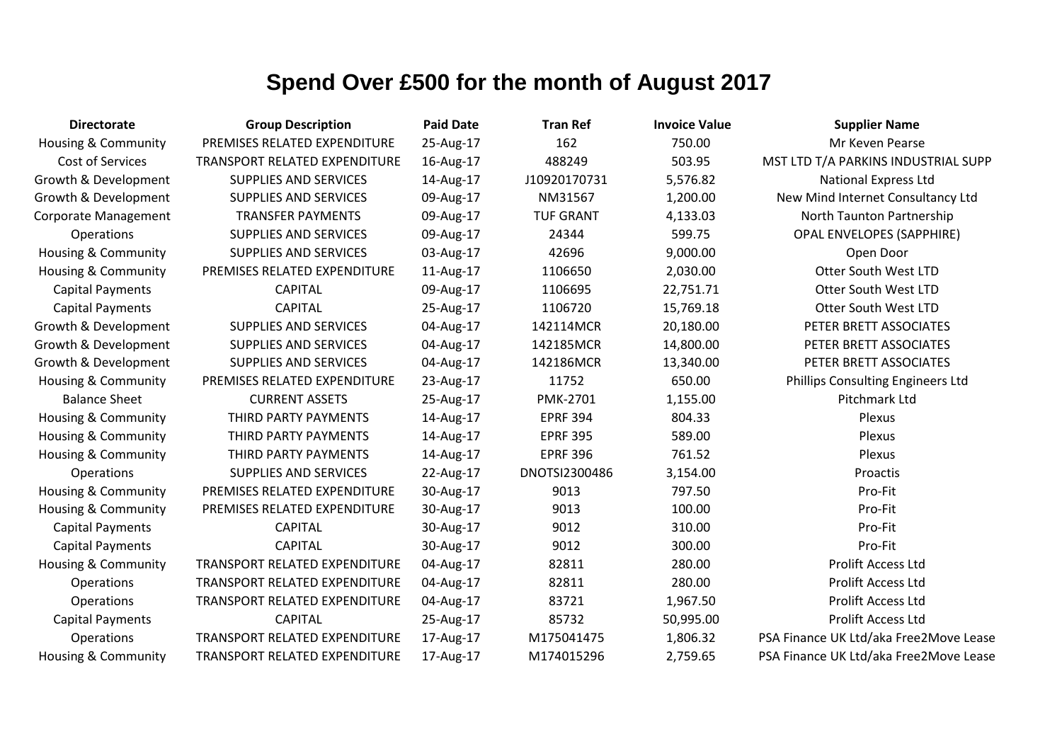| <b>Directorate</b>             | <b>Group Description</b>             | <b>Paid Date</b> | <b>Tran Ref</b>  | <b>Invoice Value</b> | <b>Supplier Name</b>                   |
|--------------------------------|--------------------------------------|------------------|------------------|----------------------|----------------------------------------|
| <b>Housing &amp; Community</b> | PREMISES RELATED EXPENDITURE         | 25-Aug-17        | 162              | 750.00               | Mr Keven Pearse                        |
| Cost of Services               | <b>TRANSPORT RELATED EXPENDITURE</b> | 16-Aug-17        | 488249           | 503.95               | MST LTD T/A PARKINS INDUSTRIAL SUPP    |
| Growth & Development           | <b>SUPPLIES AND SERVICES</b>         | 14-Aug-17        | J10920170731     | 5,576.82             | <b>National Express Ltd</b>            |
| Growth & Development           | <b>SUPPLIES AND SERVICES</b>         | 09-Aug-17        | NM31567          | 1,200.00             | New Mind Internet Consultancy Ltd      |
| Corporate Management           | <b>TRANSFER PAYMENTS</b>             | 09-Aug-17        | <b>TUF GRANT</b> | 4,133.03             | North Taunton Partnership              |
| Operations                     | <b>SUPPLIES AND SERVICES</b>         | 09-Aug-17        | 24344            | 599.75               | <b>OPAL ENVELOPES (SAPPHIRE)</b>       |
| <b>Housing &amp; Community</b> | <b>SUPPLIES AND SERVICES</b>         | 03-Aug-17        | 42696            | 9,000.00             | Open Door                              |
| <b>Housing &amp; Community</b> | PREMISES RELATED EXPENDITURE         | 11-Aug-17        | 1106650          | 2,030.00             | <b>Otter South West LTD</b>            |
| <b>Capital Payments</b>        | <b>CAPITAL</b>                       | 09-Aug-17        | 1106695          | 22,751.71            | Otter South West LTD                   |
| <b>Capital Payments</b>        | <b>CAPITAL</b>                       | 25-Aug-17        | 1106720          | 15,769.18            | Otter South West LTD                   |
| Growth & Development           | SUPPLIES AND SERVICES                | 04-Aug-17        | 142114MCR        | 20,180.00            | PETER BRETT ASSOCIATES                 |
| Growth & Development           | <b>SUPPLIES AND SERVICES</b>         | 04-Aug-17        | 142185MCR        | 14,800.00            | PETER BRETT ASSOCIATES                 |
| Growth & Development           | <b>SUPPLIES AND SERVICES</b>         | 04-Aug-17        | 142186MCR        | 13,340.00            | PETER BRETT ASSOCIATES                 |
| <b>Housing &amp; Community</b> | PREMISES RELATED EXPENDITURE         | 23-Aug-17        | 11752            | 650.00               | Phillips Consulting Engineers Ltd      |
| <b>Balance Sheet</b>           | <b>CURRENT ASSETS</b>                | 25-Aug-17        | PMK-2701         | 1,155.00             | Pitchmark Ltd                          |
| <b>Housing &amp; Community</b> | THIRD PARTY PAYMENTS                 | 14-Aug-17        | <b>EPRF 394</b>  | 804.33               | Plexus                                 |
| Housing & Community            | THIRD PARTY PAYMENTS                 | 14-Aug-17        | <b>EPRF 395</b>  | 589.00               | Plexus                                 |
| <b>Housing &amp; Community</b> | THIRD PARTY PAYMENTS                 | 14-Aug-17        | <b>EPRF 396</b>  | 761.52               | Plexus                                 |
| Operations                     | <b>SUPPLIES AND SERVICES</b>         | 22-Aug-17        | DNOTSI2300486    | 3,154.00             | Proactis                               |
| <b>Housing &amp; Community</b> | PREMISES RELATED EXPENDITURE         | 30-Aug-17        | 9013             | 797.50               | Pro-Fit                                |
| <b>Housing &amp; Community</b> | PREMISES RELATED EXPENDITURE         | 30-Aug-17        | 9013             | 100.00               | Pro-Fit                                |
| <b>Capital Payments</b>        | <b>CAPITAL</b>                       | 30-Aug-17        | 9012             | 310.00               | Pro-Fit                                |
| <b>Capital Payments</b>        | <b>CAPITAL</b>                       | 30-Aug-17        | 9012             | 300.00               | Pro-Fit                                |
| <b>Housing &amp; Community</b> | TRANSPORT RELATED EXPENDITURE        | 04-Aug-17        | 82811            | 280.00               | Prolift Access Ltd                     |
| Operations                     | TRANSPORT RELATED EXPENDITURE        | 04-Aug-17        | 82811            | 280.00               | <b>Prolift Access Ltd</b>              |
| Operations                     | TRANSPORT RELATED EXPENDITURE        | 04-Aug-17        | 83721            | 1,967.50             | <b>Prolift Access Ltd</b>              |
| <b>Capital Payments</b>        | <b>CAPITAL</b>                       | 25-Aug-17        | 85732            | 50,995.00            | <b>Prolift Access Ltd</b>              |
| Operations                     | TRANSPORT RELATED EXPENDITURE        | 17-Aug-17        | M175041475       | 1,806.32             | PSA Finance UK Ltd/aka Free2Move Lease |
| <b>Housing &amp; Community</b> | TRANSPORT RELATED EXPENDITURE        | 17-Aug-17        | M174015296       | 2,759.65             | PSA Finance UK Ltd/aka Free2Move Lease |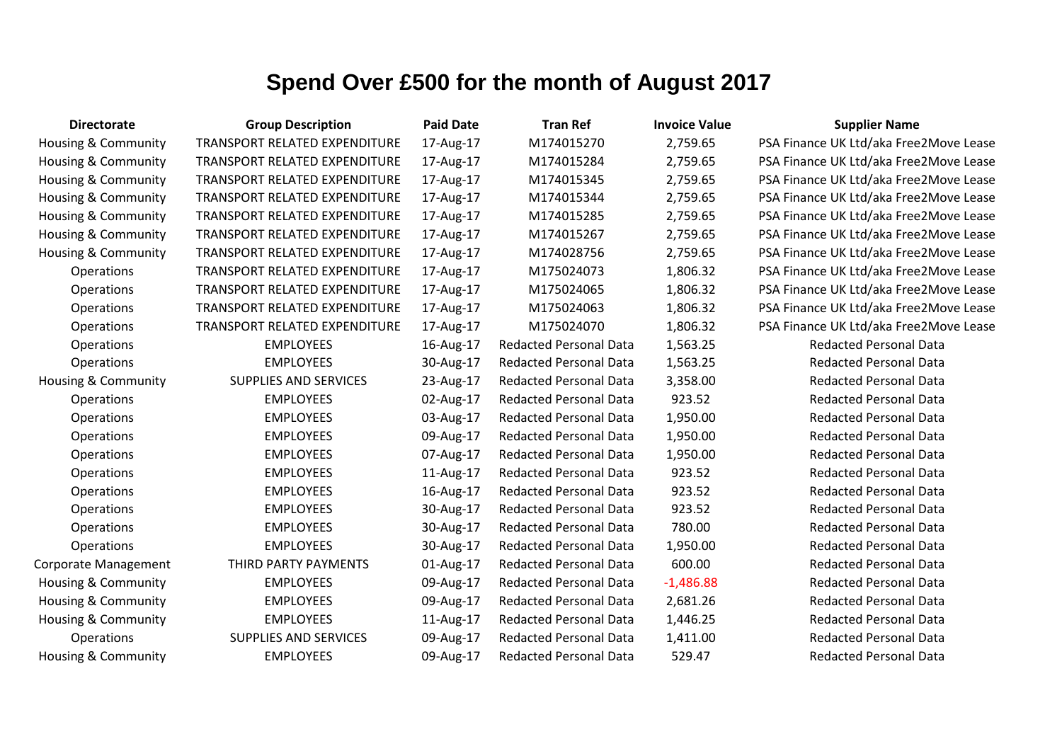| <b>Directorate</b>             | <b>Group Description</b>      | <b>Paid Date</b> | <b>Tran Ref</b>               | <b>Invoice Value</b> | <b>Supplier Name</b>                   |
|--------------------------------|-------------------------------|------------------|-------------------------------|----------------------|----------------------------------------|
| Housing & Community            | TRANSPORT RELATED EXPENDITURE | 17-Aug-17        | M174015270                    | 2,759.65             | PSA Finance UK Ltd/aka Free2Move Lease |
| Housing & Community            | TRANSPORT RELATED EXPENDITURE | 17-Aug-17        | M174015284                    | 2,759.65             | PSA Finance UK Ltd/aka Free2Move Lease |
| Housing & Community            | TRANSPORT RELATED EXPENDITURE | 17-Aug-17        | M174015345                    | 2,759.65             | PSA Finance UK Ltd/aka Free2Move Lease |
| Housing & Community            | TRANSPORT RELATED EXPENDITURE | 17-Aug-17        | M174015344                    | 2,759.65             | PSA Finance UK Ltd/aka Free2Move Lease |
| Housing & Community            | TRANSPORT RELATED EXPENDITURE | 17-Aug-17        | M174015285                    | 2,759.65             | PSA Finance UK Ltd/aka Free2Move Lease |
| Housing & Community            | TRANSPORT RELATED EXPENDITURE | 17-Aug-17        | M174015267                    | 2,759.65             | PSA Finance UK Ltd/aka Free2Move Lease |
| Housing & Community            | TRANSPORT RELATED EXPENDITURE | 17-Aug-17        | M174028756                    | 2,759.65             | PSA Finance UK Ltd/aka Free2Move Lease |
| Operations                     | TRANSPORT RELATED EXPENDITURE | 17-Aug-17        | M175024073                    | 1,806.32             | PSA Finance UK Ltd/aka Free2Move Lease |
| Operations                     | TRANSPORT RELATED EXPENDITURE | 17-Aug-17        | M175024065                    | 1,806.32             | PSA Finance UK Ltd/aka Free2Move Lease |
| Operations                     | TRANSPORT RELATED EXPENDITURE | 17-Aug-17        | M175024063                    | 1,806.32             | PSA Finance UK Ltd/aka Free2Move Lease |
| Operations                     | TRANSPORT RELATED EXPENDITURE | 17-Aug-17        | M175024070                    | 1,806.32             | PSA Finance UK Ltd/aka Free2Move Lease |
| Operations                     | <b>EMPLOYEES</b>              | 16-Aug-17        | <b>Redacted Personal Data</b> | 1,563.25             | <b>Redacted Personal Data</b>          |
| Operations                     | <b>EMPLOYEES</b>              | 30-Aug-17        | <b>Redacted Personal Data</b> | 1,563.25             | <b>Redacted Personal Data</b>          |
| Housing & Community            | <b>SUPPLIES AND SERVICES</b>  | 23-Aug-17        | <b>Redacted Personal Data</b> | 3,358.00             | <b>Redacted Personal Data</b>          |
| Operations                     | <b>EMPLOYEES</b>              | 02-Aug-17        | <b>Redacted Personal Data</b> | 923.52               | <b>Redacted Personal Data</b>          |
| Operations                     | <b>EMPLOYEES</b>              | 03-Aug-17        | <b>Redacted Personal Data</b> | 1,950.00             | <b>Redacted Personal Data</b>          |
| Operations                     | <b>EMPLOYEES</b>              | 09-Aug-17        | <b>Redacted Personal Data</b> | 1,950.00             | <b>Redacted Personal Data</b>          |
| Operations                     | <b>EMPLOYEES</b>              | 07-Aug-17        | <b>Redacted Personal Data</b> | 1,950.00             | <b>Redacted Personal Data</b>          |
| Operations                     | <b>EMPLOYEES</b>              | 11-Aug-17        | <b>Redacted Personal Data</b> | 923.52               | <b>Redacted Personal Data</b>          |
| Operations                     | <b>EMPLOYEES</b>              | 16-Aug-17        | <b>Redacted Personal Data</b> | 923.52               | <b>Redacted Personal Data</b>          |
| Operations                     | <b>EMPLOYEES</b>              | 30-Aug-17        | <b>Redacted Personal Data</b> | 923.52               | <b>Redacted Personal Data</b>          |
| Operations                     | <b>EMPLOYEES</b>              | 30-Aug-17        | <b>Redacted Personal Data</b> | 780.00               | <b>Redacted Personal Data</b>          |
| <b>Operations</b>              | <b>EMPLOYEES</b>              | 30-Aug-17        | <b>Redacted Personal Data</b> | 1,950.00             | <b>Redacted Personal Data</b>          |
| Corporate Management           | THIRD PARTY PAYMENTS          | 01-Aug-17        | <b>Redacted Personal Data</b> | 600.00               | <b>Redacted Personal Data</b>          |
| <b>Housing &amp; Community</b> | <b>EMPLOYEES</b>              | 09-Aug-17        | <b>Redacted Personal Data</b> | $-1,486.88$          | <b>Redacted Personal Data</b>          |
| Housing & Community            | <b>EMPLOYEES</b>              | 09-Aug-17        | <b>Redacted Personal Data</b> | 2,681.26             | <b>Redacted Personal Data</b>          |
| Housing & Community            | <b>EMPLOYEES</b>              | 11-Aug-17        | <b>Redacted Personal Data</b> | 1,446.25             | <b>Redacted Personal Data</b>          |
| Operations                     | <b>SUPPLIES AND SERVICES</b>  | 09-Aug-17        | <b>Redacted Personal Data</b> | 1,411.00             | <b>Redacted Personal Data</b>          |
| Housing & Community            | <b>EMPLOYEES</b>              | 09-Aug-17        | <b>Redacted Personal Data</b> | 529.47               | <b>Redacted Personal Data</b>          |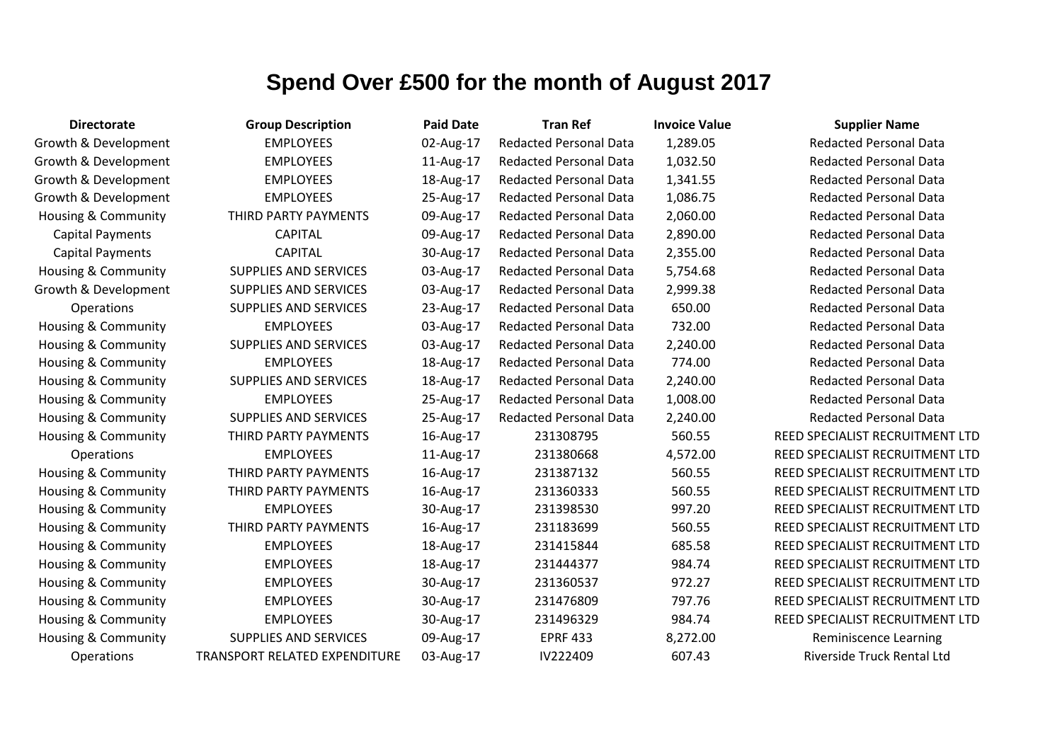| <b>Directorate</b>             | <b>Group Description</b>      | <b>Paid Date</b> | <b>Tran Ref</b>               | <b>Invoice Value</b> | <b>Supplier Name</b>              |
|--------------------------------|-------------------------------|------------------|-------------------------------|----------------------|-----------------------------------|
| Growth & Development           | <b>EMPLOYEES</b>              | 02-Aug-17        | <b>Redacted Personal Data</b> | 1,289.05             | <b>Redacted Personal Data</b>     |
| Growth & Development           | <b>EMPLOYEES</b>              | 11-Aug-17        | <b>Redacted Personal Data</b> | 1,032.50             | <b>Redacted Personal Data</b>     |
| Growth & Development           | <b>EMPLOYEES</b>              | 18-Aug-17        | <b>Redacted Personal Data</b> | 1,341.55             | <b>Redacted Personal Data</b>     |
| Growth & Development           | <b>EMPLOYEES</b>              | 25-Aug-17        | <b>Redacted Personal Data</b> | 1,086.75             | <b>Redacted Personal Data</b>     |
| Housing & Community            | THIRD PARTY PAYMENTS          | 09-Aug-17        | <b>Redacted Personal Data</b> | 2,060.00             | <b>Redacted Personal Data</b>     |
| <b>Capital Payments</b>        | <b>CAPITAL</b>                | 09-Aug-17        | <b>Redacted Personal Data</b> | 2,890.00             | <b>Redacted Personal Data</b>     |
| <b>Capital Payments</b>        | <b>CAPITAL</b>                | 30-Aug-17        | <b>Redacted Personal Data</b> | 2,355.00             | <b>Redacted Personal Data</b>     |
| <b>Housing &amp; Community</b> | <b>SUPPLIES AND SERVICES</b>  | 03-Aug-17        | <b>Redacted Personal Data</b> | 5,754.68             | <b>Redacted Personal Data</b>     |
| Growth & Development           | <b>SUPPLIES AND SERVICES</b>  | 03-Aug-17        | <b>Redacted Personal Data</b> | 2,999.38             | <b>Redacted Personal Data</b>     |
| <b>Operations</b>              | <b>SUPPLIES AND SERVICES</b>  | 23-Aug-17        | <b>Redacted Personal Data</b> | 650.00               | <b>Redacted Personal Data</b>     |
| Housing & Community            | <b>EMPLOYEES</b>              | 03-Aug-17        | <b>Redacted Personal Data</b> | 732.00               | <b>Redacted Personal Data</b>     |
| <b>Housing &amp; Community</b> | <b>SUPPLIES AND SERVICES</b>  | 03-Aug-17        | <b>Redacted Personal Data</b> | 2,240.00             | <b>Redacted Personal Data</b>     |
| Housing & Community            | <b>EMPLOYEES</b>              | 18-Aug-17        | <b>Redacted Personal Data</b> | 774.00               | <b>Redacted Personal Data</b>     |
| <b>Housing &amp; Community</b> | <b>SUPPLIES AND SERVICES</b>  | 18-Aug-17        | <b>Redacted Personal Data</b> | 2,240.00             | <b>Redacted Personal Data</b>     |
| <b>Housing &amp; Community</b> | <b>EMPLOYEES</b>              | 25-Aug-17        | <b>Redacted Personal Data</b> | 1,008.00             | <b>Redacted Personal Data</b>     |
| <b>Housing &amp; Community</b> | <b>SUPPLIES AND SERVICES</b>  | 25-Aug-17        | <b>Redacted Personal Data</b> | 2,240.00             | <b>Redacted Personal Data</b>     |
| Housing & Community            | THIRD PARTY PAYMENTS          | 16-Aug-17        | 231308795                     | 560.55               | REED SPECIALIST RECRUITMENT LTD   |
| <b>Operations</b>              | <b>EMPLOYEES</b>              | 11-Aug-17        | 231380668                     | 4,572.00             | REED SPECIALIST RECRUITMENT LTD   |
| <b>Housing &amp; Community</b> | THIRD PARTY PAYMENTS          | 16-Aug-17        | 231387132                     | 560.55               | REED SPECIALIST RECRUITMENT LTD   |
| Housing & Community            | THIRD PARTY PAYMENTS          | 16-Aug-17        | 231360333                     | 560.55               | REED SPECIALIST RECRUITMENT LTD   |
| <b>Housing &amp; Community</b> | <b>EMPLOYEES</b>              | 30-Aug-17        | 231398530                     | 997.20               | REED SPECIALIST RECRUITMENT LTD   |
| <b>Housing &amp; Community</b> | THIRD PARTY PAYMENTS          | 16-Aug-17        | 231183699                     | 560.55               | REED SPECIALIST RECRUITMENT LTD   |
| Housing & Community            | <b>EMPLOYEES</b>              | 18-Aug-17        | 231415844                     | 685.58               | REED SPECIALIST RECRUITMENT LTD   |
| <b>Housing &amp; Community</b> | <b>EMPLOYEES</b>              | 18-Aug-17        | 231444377                     | 984.74               | REED SPECIALIST RECRUITMENT LTD   |
| <b>Housing &amp; Community</b> | <b>EMPLOYEES</b>              | 30-Aug-17        | 231360537                     | 972.27               | REED SPECIALIST RECRUITMENT LTD   |
| <b>Housing &amp; Community</b> | <b>EMPLOYEES</b>              | 30-Aug-17        | 231476809                     | 797.76               | REED SPECIALIST RECRUITMENT LTD   |
| <b>Housing &amp; Community</b> | <b>EMPLOYEES</b>              | 30-Aug-17        | 231496329                     | 984.74               | REED SPECIALIST RECRUITMENT LTD   |
| Housing & Community            | <b>SUPPLIES AND SERVICES</b>  | 09-Aug-17        | <b>EPRF 433</b>               | 8,272.00             | <b>Reminiscence Learning</b>      |
| Operations                     | TRANSPORT RELATED EXPENDITURE | 03-Aug-17        | IV222409                      | 607.43               | <b>Riverside Truck Rental Ltd</b> |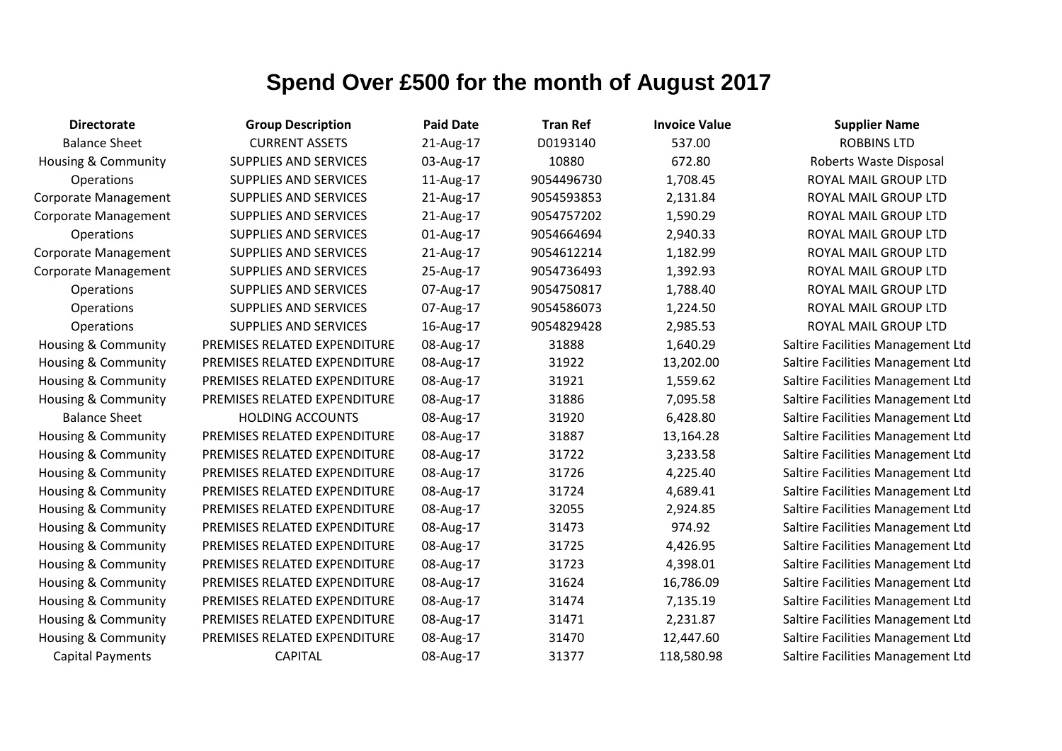| <b>Directorate</b>             | <b>Group Description</b>     | <b>Paid Date</b> | <b>Tran Ref</b> | <b>Invoice Value</b> | <b>Supplier Name</b>              |
|--------------------------------|------------------------------|------------------|-----------------|----------------------|-----------------------------------|
| <b>Balance Sheet</b>           | <b>CURRENT ASSETS</b>        | 21-Aug-17        | D0193140        | 537.00               | <b>ROBBINS LTD</b>                |
| Housing & Community            | SUPPLIES AND SERVICES        | 03-Aug-17        | 10880           | 672.80               | Roberts Waste Disposal            |
| <b>Operations</b>              | SUPPLIES AND SERVICES        | 11-Aug-17        | 9054496730      | 1,708.45             | ROYAL MAIL GROUP LTD              |
| <b>Corporate Management</b>    | <b>SUPPLIES AND SERVICES</b> | 21-Aug-17        | 9054593853      | 2,131.84             | ROYAL MAIL GROUP LTD              |
| <b>Corporate Management</b>    | SUPPLIES AND SERVICES        | 21-Aug-17        | 9054757202      | 1,590.29             | ROYAL MAIL GROUP LTD              |
| <b>Operations</b>              | <b>SUPPLIES AND SERVICES</b> | 01-Aug-17        | 9054664694      | 2,940.33             | ROYAL MAIL GROUP LTD              |
| <b>Corporate Management</b>    | SUPPLIES AND SERVICES        | 21-Aug-17        | 9054612214      | 1,182.99             | ROYAL MAIL GROUP LTD              |
| Corporate Management           | <b>SUPPLIES AND SERVICES</b> | 25-Aug-17        | 9054736493      | 1,392.93             | ROYAL MAIL GROUP LTD              |
| Operations                     | <b>SUPPLIES AND SERVICES</b> | 07-Aug-17        | 9054750817      | 1,788.40             | ROYAL MAIL GROUP LTD              |
| <b>Operations</b>              | <b>SUPPLIES AND SERVICES</b> | 07-Aug-17        | 9054586073      | 1,224.50             | ROYAL MAIL GROUP LTD              |
| Operations                     | <b>SUPPLIES AND SERVICES</b> | 16-Aug-17        | 9054829428      | 2,985.53             | ROYAL MAIL GROUP LTD              |
| Housing & Community            | PREMISES RELATED EXPENDITURE | 08-Aug-17        | 31888           | 1,640.29             | Saltire Facilities Management Ltd |
| <b>Housing &amp; Community</b> | PREMISES RELATED EXPENDITURE | 08-Aug-17        | 31922           | 13,202.00            | Saltire Facilities Management Ltd |
| Housing & Community            | PREMISES RELATED EXPENDITURE | 08-Aug-17        | 31921           | 1,559.62             | Saltire Facilities Management Ltd |
| Housing & Community            | PREMISES RELATED EXPENDITURE | 08-Aug-17        | 31886           | 7,095.58             | Saltire Facilities Management Ltd |
| <b>Balance Sheet</b>           | <b>HOLDING ACCOUNTS</b>      | 08-Aug-17        | 31920           | 6,428.80             | Saltire Facilities Management Ltd |
| Housing & Community            | PREMISES RELATED EXPENDITURE | 08-Aug-17        | 31887           | 13,164.28            | Saltire Facilities Management Ltd |
| Housing & Community            | PREMISES RELATED EXPENDITURE | 08-Aug-17        | 31722           | 3,233.58             | Saltire Facilities Management Ltd |
| Housing & Community            | PREMISES RELATED EXPENDITURE | 08-Aug-17        | 31726           | 4,225.40             | Saltire Facilities Management Ltd |
| <b>Housing &amp; Community</b> | PREMISES RELATED EXPENDITURE | 08-Aug-17        | 31724           | 4,689.41             | Saltire Facilities Management Ltd |
| Housing & Community            | PREMISES RELATED EXPENDITURE | 08-Aug-17        | 32055           | 2,924.85             | Saltire Facilities Management Ltd |
| <b>Housing &amp; Community</b> | PREMISES RELATED EXPENDITURE | 08-Aug-17        | 31473           | 974.92               | Saltire Facilities Management Ltd |
| Housing & Community            | PREMISES RELATED EXPENDITURE | 08-Aug-17        | 31725           | 4,426.95             | Saltire Facilities Management Ltd |
| Housing & Community            | PREMISES RELATED EXPENDITURE | 08-Aug-17        | 31723           | 4,398.01             | Saltire Facilities Management Ltd |
| <b>Housing &amp; Community</b> | PREMISES RELATED EXPENDITURE | 08-Aug-17        | 31624           | 16,786.09            | Saltire Facilities Management Ltd |
| Housing & Community            | PREMISES RELATED EXPENDITURE | 08-Aug-17        | 31474           | 7,135.19             | Saltire Facilities Management Ltd |
| Housing & Community            | PREMISES RELATED EXPENDITURE | 08-Aug-17        | 31471           | 2,231.87             | Saltire Facilities Management Ltd |
| <b>Housing &amp; Community</b> | PREMISES RELATED EXPENDITURE | 08-Aug-17        | 31470           | 12,447.60            | Saltire Facilities Management Ltd |
| <b>Capital Payments</b>        | <b>CAPITAL</b>               | 08-Aug-17        | 31377           | 118,580.98           | Saltire Facilities Management Ltd |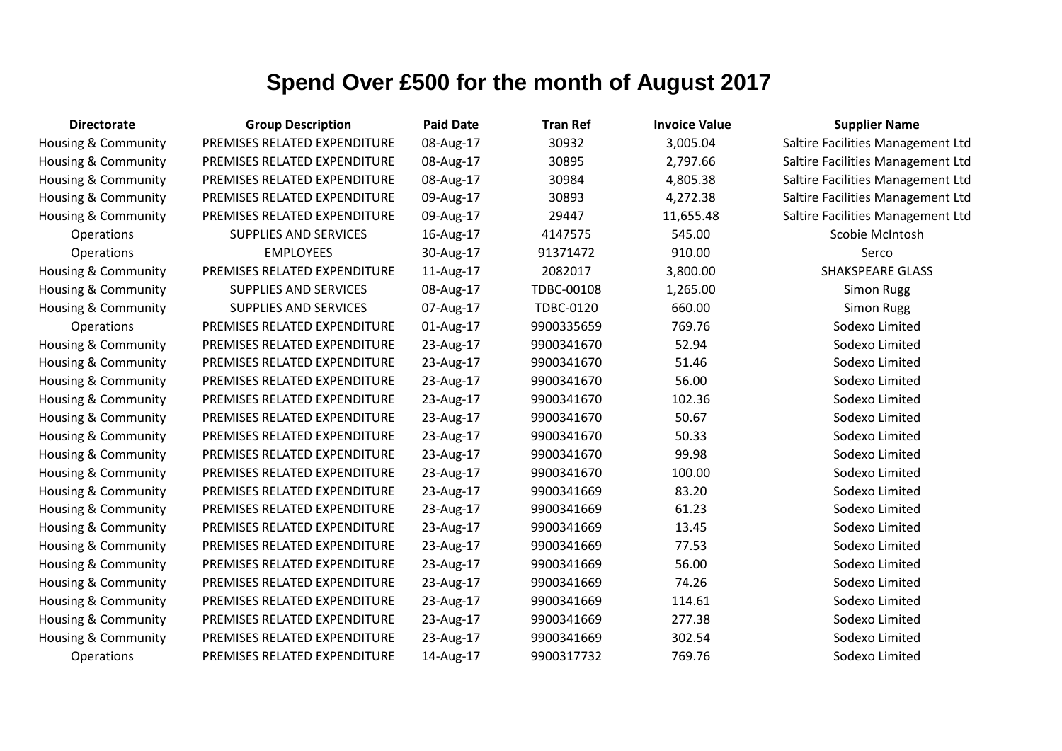| <b>Directorate</b>             | <b>Group Description</b>     | <b>Paid Date</b> | <b>Tran Ref</b>  | <b>Invoice Value</b> | <b>Supplier Name</b>              |
|--------------------------------|------------------------------|------------------|------------------|----------------------|-----------------------------------|
| Housing & Community            | PREMISES RELATED EXPENDITURE | 08-Aug-17        | 30932            | 3,005.04             | Saltire Facilities Management Ltd |
| Housing & Community            | PREMISES RELATED EXPENDITURE | 08-Aug-17        | 30895            | 2,797.66             | Saltire Facilities Management Ltd |
| Housing & Community            | PREMISES RELATED EXPENDITURE | 08-Aug-17        | 30984            | 4,805.38             | Saltire Facilities Management Ltd |
| Housing & Community            | PREMISES RELATED EXPENDITURE | 09-Aug-17        | 30893            | 4,272.38             | Saltire Facilities Management Ltd |
| Housing & Community            | PREMISES RELATED EXPENDITURE | 09-Aug-17        | 29447            | 11,655.48            | Saltire Facilities Management Ltd |
| Operations                     | <b>SUPPLIES AND SERVICES</b> | 16-Aug-17        | 4147575          | 545.00               | Scobie McIntosh                   |
| Operations                     | <b>EMPLOYEES</b>             | 30-Aug-17        | 91371472         | 910.00               | Serco                             |
| Housing & Community            | PREMISES RELATED EXPENDITURE | 11-Aug-17        | 2082017          | 3,800.00             | <b>SHAKSPEARE GLASS</b>           |
| <b>Housing &amp; Community</b> | <b>SUPPLIES AND SERVICES</b> | 08-Aug-17        | TDBC-00108       | 1,265.00             | <b>Simon Rugg</b>                 |
| Housing & Community            | <b>SUPPLIES AND SERVICES</b> | 07-Aug-17        | <b>TDBC-0120</b> | 660.00               | <b>Simon Rugg</b>                 |
| Operations                     | PREMISES RELATED EXPENDITURE | 01-Aug-17        | 9900335659       | 769.76               | Sodexo Limited                    |
| Housing & Community            | PREMISES RELATED EXPENDITURE | 23-Aug-17        | 9900341670       | 52.94                | Sodexo Limited                    |
| <b>Housing &amp; Community</b> | PREMISES RELATED EXPENDITURE | 23-Aug-17        | 9900341670       | 51.46                | Sodexo Limited                    |
| Housing & Community            | PREMISES RELATED EXPENDITURE | 23-Aug-17        | 9900341670       | 56.00                | Sodexo Limited                    |
| Housing & Community            | PREMISES RELATED EXPENDITURE | 23-Aug-17        | 9900341670       | 102.36               | Sodexo Limited                    |
| Housing & Community            | PREMISES RELATED EXPENDITURE | 23-Aug-17        | 9900341670       | 50.67                | Sodexo Limited                    |
| Housing & Community            | PREMISES RELATED EXPENDITURE | 23-Aug-17        | 9900341670       | 50.33                | Sodexo Limited                    |
| Housing & Community            | PREMISES RELATED EXPENDITURE | 23-Aug-17        | 9900341670       | 99.98                | Sodexo Limited                    |
| Housing & Community            | PREMISES RELATED EXPENDITURE | 23-Aug-17        | 9900341670       | 100.00               | Sodexo Limited                    |
| Housing & Community            | PREMISES RELATED EXPENDITURE | 23-Aug-17        | 9900341669       | 83.20                | Sodexo Limited                    |
| Housing & Community            | PREMISES RELATED EXPENDITURE | 23-Aug-17        | 9900341669       | 61.23                | Sodexo Limited                    |
| Housing & Community            | PREMISES RELATED EXPENDITURE | 23-Aug-17        | 9900341669       | 13.45                | Sodexo Limited                    |
| Housing & Community            | PREMISES RELATED EXPENDITURE | 23-Aug-17        | 9900341669       | 77.53                | Sodexo Limited                    |
| Housing & Community            | PREMISES RELATED EXPENDITURE | 23-Aug-17        | 9900341669       | 56.00                | Sodexo Limited                    |
| Housing & Community            | PREMISES RELATED EXPENDITURE | 23-Aug-17        | 9900341669       | 74.26                | Sodexo Limited                    |
| Housing & Community            | PREMISES RELATED EXPENDITURE | 23-Aug-17        | 9900341669       | 114.61               | Sodexo Limited                    |
| Housing & Community            | PREMISES RELATED EXPENDITURE | 23-Aug-17        | 9900341669       | 277.38               | Sodexo Limited                    |
| Housing & Community            | PREMISES RELATED EXPENDITURE | 23-Aug-17        | 9900341669       | 302.54               | Sodexo Limited                    |
| Operations                     | PREMISES RELATED EXPENDITURE | 14-Aug-17        | 9900317732       | 769.76               | Sodexo Limited                    |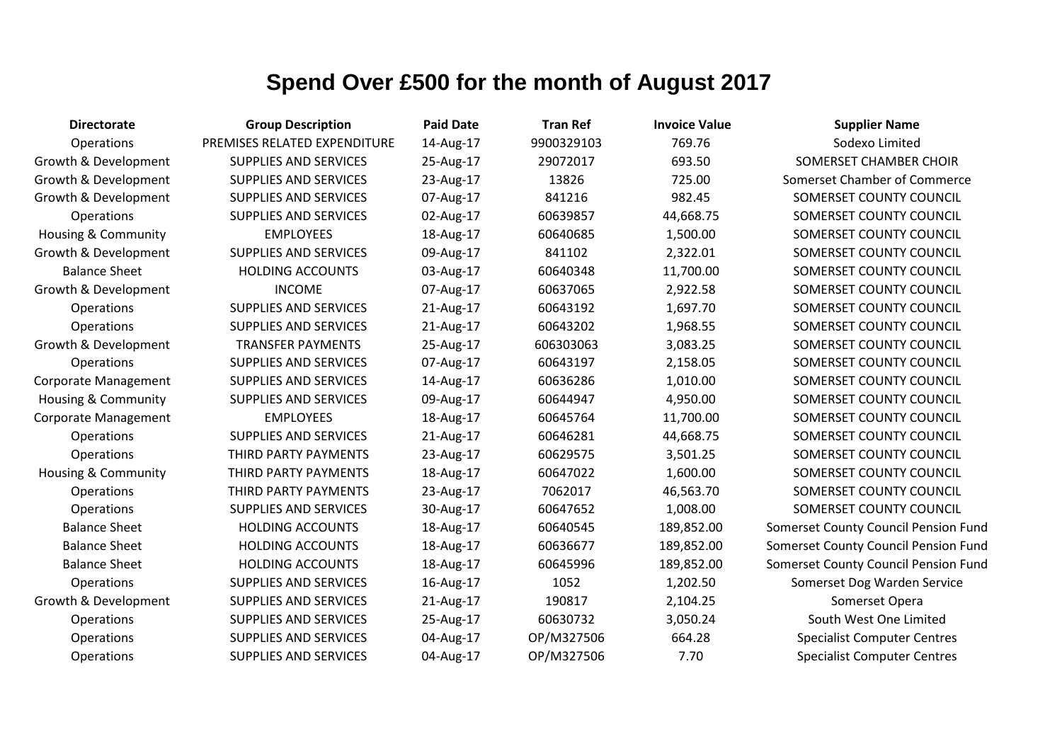| <b>Directorate</b>             | <b>Group Description</b>     | <b>Paid Date</b> | <b>Tran Ref</b> | <b>Invoice Value</b> | <b>Supplier Name</b>                 |
|--------------------------------|------------------------------|------------------|-----------------|----------------------|--------------------------------------|
| Operations                     | PREMISES RELATED EXPENDITURE | 14-Aug-17        | 9900329103      | 769.76               | Sodexo Limited                       |
| Growth & Development           | <b>SUPPLIES AND SERVICES</b> | 25-Aug-17        | 29072017        | 693.50               | SOMERSET CHAMBER CHOIR               |
| Growth & Development           | <b>SUPPLIES AND SERVICES</b> | 23-Aug-17        | 13826           | 725.00               | Somerset Chamber of Commerce         |
| Growth & Development           | <b>SUPPLIES AND SERVICES</b> | 07-Aug-17        | 841216          | 982.45               | SOMERSET COUNTY COUNCIL              |
| Operations                     | <b>SUPPLIES AND SERVICES</b> | 02-Aug-17        | 60639857        | 44,668.75            | SOMERSET COUNTY COUNCIL              |
| <b>Housing &amp; Community</b> | <b>EMPLOYEES</b>             | 18-Aug-17        | 60640685        | 1,500.00             | SOMERSET COUNTY COUNCIL              |
| Growth & Development           | <b>SUPPLIES AND SERVICES</b> | 09-Aug-17        | 841102          | 2,322.01             | SOMERSET COUNTY COUNCIL              |
| <b>Balance Sheet</b>           | <b>HOLDING ACCOUNTS</b>      | 03-Aug-17        | 60640348        | 11,700.00            | SOMERSET COUNTY COUNCIL              |
| Growth & Development           | <b>INCOME</b>                | 07-Aug-17        | 60637065        | 2,922.58             | SOMERSET COUNTY COUNCIL              |
| Operations                     | <b>SUPPLIES AND SERVICES</b> | 21-Aug-17        | 60643192        | 1,697.70             | SOMERSET COUNTY COUNCIL              |
| Operations                     | <b>SUPPLIES AND SERVICES</b> | 21-Aug-17        | 60643202        | 1,968.55             | SOMERSET COUNTY COUNCIL              |
| Growth & Development           | <b>TRANSFER PAYMENTS</b>     | 25-Aug-17        | 606303063       | 3,083.25             | SOMERSET COUNTY COUNCIL              |
| Operations                     | <b>SUPPLIES AND SERVICES</b> | 07-Aug-17        | 60643197        | 2,158.05             | SOMERSET COUNTY COUNCIL              |
| <b>Corporate Management</b>    | <b>SUPPLIES AND SERVICES</b> | 14-Aug-17        | 60636286        | 1,010.00             | SOMERSET COUNTY COUNCIL              |
| Housing & Community            | SUPPLIES AND SERVICES        | 09-Aug-17        | 60644947        | 4,950.00             | SOMERSET COUNTY COUNCIL              |
| <b>Corporate Management</b>    | <b>EMPLOYEES</b>             | 18-Aug-17        | 60645764        | 11,700.00            | SOMERSET COUNTY COUNCIL              |
| Operations                     | <b>SUPPLIES AND SERVICES</b> | 21-Aug-17        | 60646281        | 44,668.75            | SOMERSET COUNTY COUNCIL              |
| Operations                     | THIRD PARTY PAYMENTS         | 23-Aug-17        | 60629575        | 3,501.25             | SOMERSET COUNTY COUNCIL              |
| <b>Housing &amp; Community</b> | THIRD PARTY PAYMENTS         | 18-Aug-17        | 60647022        | 1,600.00             | SOMERSET COUNTY COUNCIL              |
| Operations                     | THIRD PARTY PAYMENTS         | 23-Aug-17        | 7062017         | 46,563.70            | SOMERSET COUNTY COUNCIL              |
| Operations                     | <b>SUPPLIES AND SERVICES</b> | 30-Aug-17        | 60647652        | 1,008.00             | SOMERSET COUNTY COUNCIL              |
| <b>Balance Sheet</b>           | <b>HOLDING ACCOUNTS</b>      | 18-Aug-17        | 60640545        | 189,852.00           | Somerset County Council Pension Fund |
| <b>Balance Sheet</b>           | <b>HOLDING ACCOUNTS</b>      | 18-Aug-17        | 60636677        | 189,852.00           | Somerset County Council Pension Fund |
| <b>Balance Sheet</b>           | <b>HOLDING ACCOUNTS</b>      | 18-Aug-17        | 60645996        | 189,852.00           | Somerset County Council Pension Fund |
| Operations                     | <b>SUPPLIES AND SERVICES</b> | 16-Aug-17        | 1052            | 1,202.50             | Somerset Dog Warden Service          |
| Growth & Development           | <b>SUPPLIES AND SERVICES</b> | 21-Aug-17        | 190817          | 2,104.25             | Somerset Opera                       |
| <b>Operations</b>              | SUPPLIES AND SERVICES        | 25-Aug-17        | 60630732        | 3,050.24             | South West One Limited               |
| Operations                     | <b>SUPPLIES AND SERVICES</b> | 04-Aug-17        | OP/M327506      | 664.28               | <b>Specialist Computer Centres</b>   |
| Operations                     | <b>SUPPLIES AND SERVICES</b> | 04-Aug-17        | OP/M327506      | 7.70                 | <b>Specialist Computer Centres</b>   |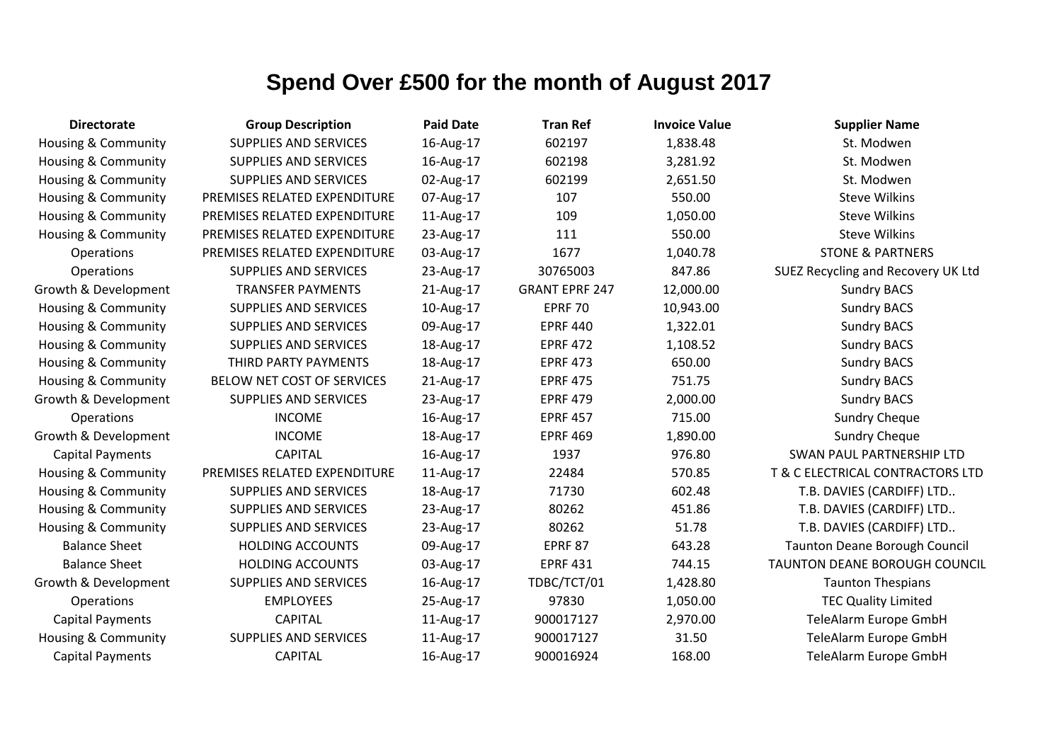| <b>Directorate</b>             | <b>Group Description</b>     | <b>Paid Date</b> | <b>Tran Ref</b>       | <b>Invoice Value</b> | <b>Supplier Name</b>                 |
|--------------------------------|------------------------------|------------------|-----------------------|----------------------|--------------------------------------|
| Housing & Community            | <b>SUPPLIES AND SERVICES</b> | 16-Aug-17        | 602197                | 1,838.48             | St. Modwen                           |
| <b>Housing &amp; Community</b> | SUPPLIES AND SERVICES        | 16-Aug-17        | 602198                | 3,281.92             | St. Modwen                           |
| Housing & Community            | SUPPLIES AND SERVICES        | 02-Aug-17        | 602199                | 2,651.50             | St. Modwen                           |
| Housing & Community            | PREMISES RELATED EXPENDITURE | 07-Aug-17        | 107                   | 550.00               | <b>Steve Wilkins</b>                 |
| <b>Housing &amp; Community</b> | PREMISES RELATED EXPENDITURE | 11-Aug-17        | 109                   | 1,050.00             | <b>Steve Wilkins</b>                 |
| Housing & Community            | PREMISES RELATED EXPENDITURE | 23-Aug-17        | 111                   | 550.00               | <b>Steve Wilkins</b>                 |
| Operations                     | PREMISES RELATED EXPENDITURE | 03-Aug-17        | 1677                  | 1,040.78             | <b>STONE &amp; PARTNERS</b>          |
| Operations                     | <b>SUPPLIES AND SERVICES</b> | 23-Aug-17        | 30765003              | 847.86               | SUEZ Recycling and Recovery UK Ltd   |
| Growth & Development           | <b>TRANSFER PAYMENTS</b>     | 21-Aug-17        | <b>GRANT EPRF 247</b> | 12,000.00            | <b>Sundry BACS</b>                   |
| <b>Housing &amp; Community</b> | SUPPLIES AND SERVICES        | 10-Aug-17        | <b>EPRF 70</b>        | 10,943.00            | <b>Sundry BACS</b>                   |
| Housing & Community            | SUPPLIES AND SERVICES        | 09-Aug-17        | <b>EPRF 440</b>       | 1,322.01             | <b>Sundry BACS</b>                   |
| Housing & Community            | SUPPLIES AND SERVICES        | 18-Aug-17        | <b>EPRF 472</b>       | 1,108.52             | <b>Sundry BACS</b>                   |
| Housing & Community            | THIRD PARTY PAYMENTS         | 18-Aug-17        | <b>EPRF 473</b>       | 650.00               | <b>Sundry BACS</b>                   |
| Housing & Community            | BELOW NET COST OF SERVICES   | 21-Aug-17        | <b>EPRF 475</b>       | 751.75               | <b>Sundry BACS</b>                   |
| Growth & Development           | <b>SUPPLIES AND SERVICES</b> | 23-Aug-17        | <b>EPRF 479</b>       | 2,000.00             | <b>Sundry BACS</b>                   |
| Operations                     | <b>INCOME</b>                | 16-Aug-17        | <b>EPRF 457</b>       | 715.00               | <b>Sundry Cheque</b>                 |
| Growth & Development           | <b>INCOME</b>                | 18-Aug-17        | <b>EPRF 469</b>       | 1,890.00             | <b>Sundry Cheque</b>                 |
| <b>Capital Payments</b>        | <b>CAPITAL</b>               | 16-Aug-17        | 1937                  | 976.80               | SWAN PAUL PARTNERSHIP LTD            |
| Housing & Community            | PREMISES RELATED EXPENDITURE | 11-Aug-17        | 22484                 | 570.85               | T & C ELECTRICAL CONTRACTORS LTD     |
| Housing & Community            | <b>SUPPLIES AND SERVICES</b> | 18-Aug-17        | 71730                 | 602.48               | T.B. DAVIES (CARDIFF) LTD            |
| <b>Housing &amp; Community</b> | <b>SUPPLIES AND SERVICES</b> | 23-Aug-17        | 80262                 | 451.86               | T.B. DAVIES (CARDIFF) LTD            |
| Housing & Community            | SUPPLIES AND SERVICES        | 23-Aug-17        | 80262                 | 51.78                | T.B. DAVIES (CARDIFF) LTD            |
| <b>Balance Sheet</b>           | <b>HOLDING ACCOUNTS</b>      | 09-Aug-17        | <b>EPRF 87</b>        | 643.28               | <b>Taunton Deane Borough Council</b> |
| <b>Balance Sheet</b>           | <b>HOLDING ACCOUNTS</b>      | 03-Aug-17        | <b>EPRF 431</b>       | 744.15               | <b>TAUNTON DEANE BOROUGH COUNCIL</b> |
| Growth & Development           | <b>SUPPLIES AND SERVICES</b> | 16-Aug-17        | TDBC/TCT/01           | 1,428.80             | <b>Taunton Thespians</b>             |
| Operations                     | <b>EMPLOYEES</b>             | 25-Aug-17        | 97830                 | 1,050.00             | <b>TEC Quality Limited</b>           |
| <b>Capital Payments</b>        | <b>CAPITAL</b>               | 11-Aug-17        | 900017127             | 2,970.00             | TeleAlarm Europe GmbH                |
| <b>Housing &amp; Community</b> | <b>SUPPLIES AND SERVICES</b> | 11-Aug-17        | 900017127             | 31.50                | TeleAlarm Europe GmbH                |
| <b>Capital Payments</b>        | <b>CAPITAL</b>               | 16-Aug-17        | 900016924             | 168.00               | TeleAlarm Europe GmbH                |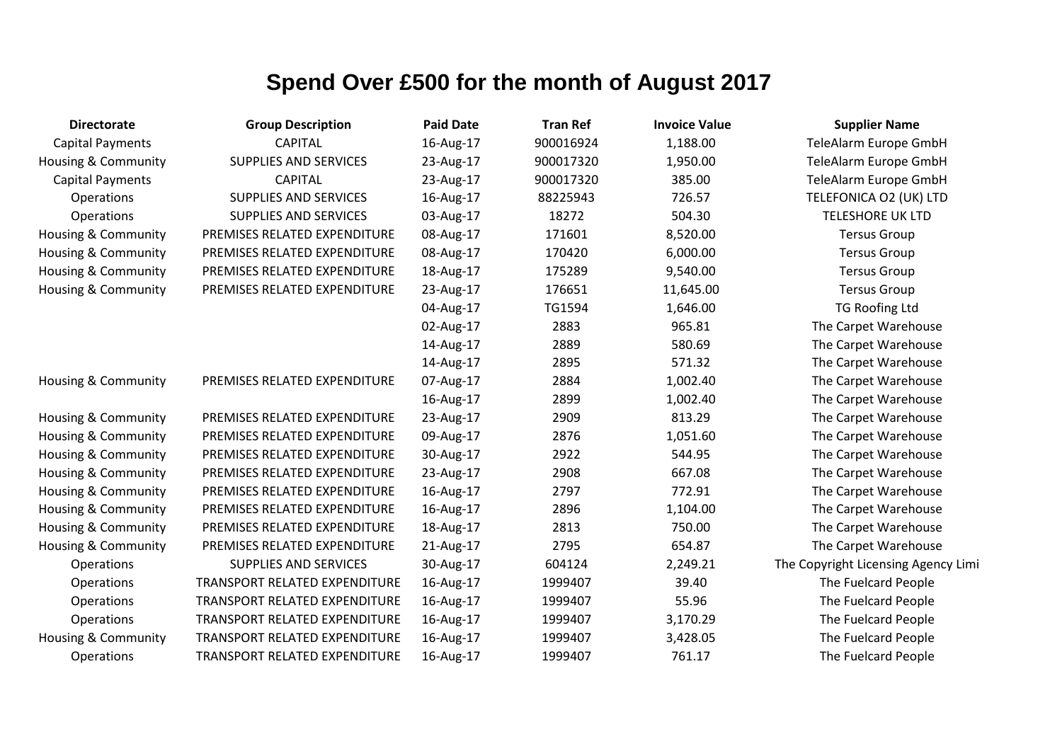| <b>Directorate</b>             | <b>Group Description</b>      | <b>Paid Date</b> | <b>Tran Ref</b> | <b>Invoice Value</b> | <b>Supplier Name</b>                |
|--------------------------------|-------------------------------|------------------|-----------------|----------------------|-------------------------------------|
| <b>Capital Payments</b>        | <b>CAPITAL</b>                | 16-Aug-17        | 900016924       | 1,188.00             | TeleAlarm Europe GmbH               |
| Housing & Community            | <b>SUPPLIES AND SERVICES</b>  | 23-Aug-17        | 900017320       | 1,950.00             | TeleAlarm Europe GmbH               |
| <b>Capital Payments</b>        | <b>CAPITAL</b>                | 23-Aug-17        | 900017320       | 385.00               | TeleAlarm Europe GmbH               |
| Operations                     | <b>SUPPLIES AND SERVICES</b>  | 16-Aug-17        | 88225943        | 726.57               | TELEFONICA O2 (UK) LTD              |
| Operations                     | <b>SUPPLIES AND SERVICES</b>  | 03-Aug-17        | 18272           | 504.30               | <b>TELESHORE UK LTD</b>             |
| <b>Housing &amp; Community</b> | PREMISES RELATED EXPENDITURE  | 08-Aug-17        | 171601          | 8,520.00             | <b>Tersus Group</b>                 |
| Housing & Community            | PREMISES RELATED EXPENDITURE  | 08-Aug-17        | 170420          | 6,000.00             | <b>Tersus Group</b>                 |
| Housing & Community            | PREMISES RELATED EXPENDITURE  | 18-Aug-17        | 175289          | 9,540.00             | <b>Tersus Group</b>                 |
| Housing & Community            | PREMISES RELATED EXPENDITURE  | 23-Aug-17        | 176651          | 11,645.00            | <b>Tersus Group</b>                 |
|                                |                               | 04-Aug-17        | TG1594          | 1,646.00             | <b>TG Roofing Ltd</b>               |
|                                |                               | 02-Aug-17        | 2883            | 965.81               | The Carpet Warehouse                |
|                                |                               | 14-Aug-17        | 2889            | 580.69               | The Carpet Warehouse                |
|                                |                               | 14-Aug-17        | 2895            | 571.32               | The Carpet Warehouse                |
| Housing & Community            | PREMISES RELATED EXPENDITURE  | 07-Aug-17        | 2884            | 1,002.40             | The Carpet Warehouse                |
|                                |                               | 16-Aug-17        | 2899            | 1,002.40             | The Carpet Warehouse                |
| Housing & Community            | PREMISES RELATED EXPENDITURE  | 23-Aug-17        | 2909            | 813.29               | The Carpet Warehouse                |
| Housing & Community            | PREMISES RELATED EXPENDITURE  | 09-Aug-17        | 2876            | 1,051.60             | The Carpet Warehouse                |
| Housing & Community            | PREMISES RELATED EXPENDITURE  | 30-Aug-17        | 2922            | 544.95               | The Carpet Warehouse                |
| Housing & Community            | PREMISES RELATED EXPENDITURE  | 23-Aug-17        | 2908            | 667.08               | The Carpet Warehouse                |
| Housing & Community            | PREMISES RELATED EXPENDITURE  | 16-Aug-17        | 2797            | 772.91               | The Carpet Warehouse                |
| Housing & Community            | PREMISES RELATED EXPENDITURE  | 16-Aug-17        | 2896            | 1,104.00             | The Carpet Warehouse                |
| Housing & Community            | PREMISES RELATED EXPENDITURE  | 18-Aug-17        | 2813            | 750.00               | The Carpet Warehouse                |
| Housing & Community            | PREMISES RELATED EXPENDITURE  | 21-Aug-17        | 2795            | 654.87               | The Carpet Warehouse                |
| Operations                     | <b>SUPPLIES AND SERVICES</b>  | 30-Aug-17        | 604124          | 2,249.21             | The Copyright Licensing Agency Limi |
| Operations                     | TRANSPORT RELATED EXPENDITURE | 16-Aug-17        | 1999407         | 39.40                | The Fuelcard People                 |
| Operations                     | TRANSPORT RELATED EXPENDITURE | 16-Aug-17        | 1999407         | 55.96                | The Fuelcard People                 |
| Operations                     | TRANSPORT RELATED EXPENDITURE | 16-Aug-17        | 1999407         | 3,170.29             | The Fuelcard People                 |
| Housing & Community            | TRANSPORT RELATED EXPENDITURE | 16-Aug-17        | 1999407         | 3,428.05             | The Fuelcard People                 |
| Operations                     | TRANSPORT RELATED EXPENDITURE | 16-Aug-17        | 1999407         | 761.17               | The Fuelcard People                 |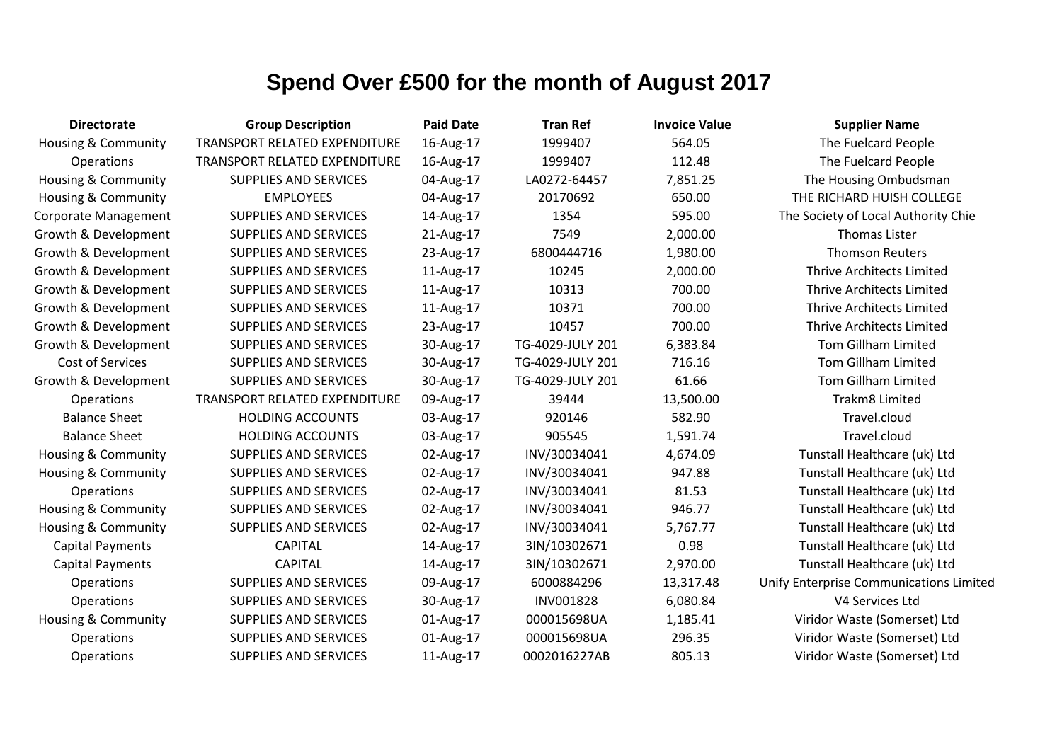| <b>Directorate</b>             | <b>Group Description</b>             | <b>Paid Date</b> | <b>Tran Ref</b>  | <b>Invoice Value</b> | <b>Supplier Name</b>                    |
|--------------------------------|--------------------------------------|------------------|------------------|----------------------|-----------------------------------------|
| Housing & Community            | TRANSPORT RELATED EXPENDITURE        | 16-Aug-17        | 1999407          | 564.05               | The Fuelcard People                     |
| Operations                     | <b>TRANSPORT RELATED EXPENDITURE</b> | 16-Aug-17        | 1999407          | 112.48               | The Fuelcard People                     |
| <b>Housing &amp; Community</b> | <b>SUPPLIES AND SERVICES</b>         | 04-Aug-17        | LA0272-64457     | 7,851.25             | The Housing Ombudsman                   |
| <b>Housing &amp; Community</b> | <b>EMPLOYEES</b>                     | 04-Aug-17        | 20170692         | 650.00               | THE RICHARD HUISH COLLEGE               |
| <b>Corporate Management</b>    | <b>SUPPLIES AND SERVICES</b>         | 14-Aug-17        | 1354             | 595.00               | The Society of Local Authority Chie     |
| Growth & Development           | <b>SUPPLIES AND SERVICES</b>         | 21-Aug-17        | 7549             | 2,000.00             | <b>Thomas Lister</b>                    |
| Growth & Development           | <b>SUPPLIES AND SERVICES</b>         | 23-Aug-17        | 6800444716       | 1,980.00             | <b>Thomson Reuters</b>                  |
| Growth & Development           | <b>SUPPLIES AND SERVICES</b>         | 11-Aug-17        | 10245            | 2,000.00             | <b>Thrive Architects Limited</b>        |
| Growth & Development           | <b>SUPPLIES AND SERVICES</b>         | 11-Aug-17        | 10313            | 700.00               | <b>Thrive Architects Limited</b>        |
| Growth & Development           | <b>SUPPLIES AND SERVICES</b>         | 11-Aug-17        | 10371            | 700.00               | Thrive Architects Limited               |
| Growth & Development           | <b>SUPPLIES AND SERVICES</b>         | 23-Aug-17        | 10457            | 700.00               | <b>Thrive Architects Limited</b>        |
| Growth & Development           | SUPPLIES AND SERVICES                | 30-Aug-17        | TG-4029-JULY 201 | 6,383.84             | <b>Tom Gillham Limited</b>              |
| Cost of Services               | SUPPLIES AND SERVICES                | 30-Aug-17        | TG-4029-JULY 201 | 716.16               | <b>Tom Gillham Limited</b>              |
| Growth & Development           | <b>SUPPLIES AND SERVICES</b>         | 30-Aug-17        | TG-4029-JULY 201 | 61.66                | <b>Tom Gillham Limited</b>              |
| Operations                     | <b>TRANSPORT RELATED EXPENDITURE</b> | 09-Aug-17        | 39444            | 13,500.00            | Trakm8 Limited                          |
| <b>Balance Sheet</b>           | <b>HOLDING ACCOUNTS</b>              | 03-Aug-17        | 920146           | 582.90               | Travel.cloud                            |
| <b>Balance Sheet</b>           | <b>HOLDING ACCOUNTS</b>              | 03-Aug-17        | 905545           | 1,591.74             | Travel.cloud                            |
| Housing & Community            | <b>SUPPLIES AND SERVICES</b>         | 02-Aug-17        | INV/30034041     | 4,674.09             | Tunstall Healthcare (uk) Ltd            |
| Housing & Community            | SUPPLIES AND SERVICES                | 02-Aug-17        | INV/30034041     | 947.88               | Tunstall Healthcare (uk) Ltd            |
| Operations                     | <b>SUPPLIES AND SERVICES</b>         | 02-Aug-17        | INV/30034041     | 81.53                | Tunstall Healthcare (uk) Ltd            |
| Housing & Community            | SUPPLIES AND SERVICES                | 02-Aug-17        | INV/30034041     | 946.77               | Tunstall Healthcare (uk) Ltd            |
| <b>Housing &amp; Community</b> | <b>SUPPLIES AND SERVICES</b>         | 02-Aug-17        | INV/30034041     | 5,767.77             | Tunstall Healthcare (uk) Ltd            |
| <b>Capital Payments</b>        | <b>CAPITAL</b>                       | 14-Aug-17        | 3IN/10302671     | 0.98                 | Tunstall Healthcare (uk) Ltd            |
| <b>Capital Payments</b>        | <b>CAPITAL</b>                       | 14-Aug-17        | 3IN/10302671     | 2,970.00             | Tunstall Healthcare (uk) Ltd            |
| Operations                     | <b>SUPPLIES AND SERVICES</b>         | 09-Aug-17        | 6000884296       | 13,317.48            | Unify Enterprise Communications Limited |
| Operations                     | <b>SUPPLIES AND SERVICES</b>         | 30-Aug-17        | INV001828        | 6,080.84             | V4 Services Ltd                         |
| Housing & Community            | <b>SUPPLIES AND SERVICES</b>         | 01-Aug-17        | 000015698UA      | 1,185.41             | Viridor Waste (Somerset) Ltd            |
| Operations                     | <b>SUPPLIES AND SERVICES</b>         | 01-Aug-17        | 000015698UA      | 296.35               | Viridor Waste (Somerset) Ltd            |
| Operations                     | <b>SUPPLIES AND SERVICES</b>         | 11-Aug-17        | 0002016227AB     | 805.13               | Viridor Waste (Somerset) Ltd            |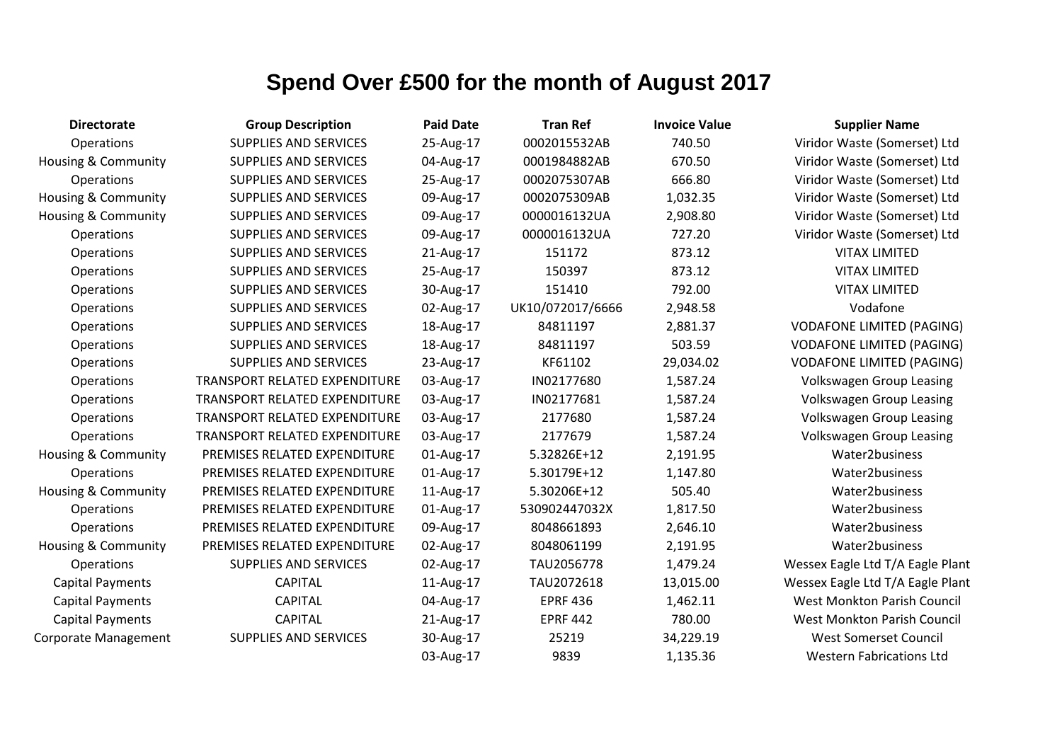| <b>Directorate</b>             | <b>Group Description</b>             | <b>Paid Date</b> | <b>Tran Ref</b>  | <b>Invoice Value</b> | <b>Supplier Name</b>               |
|--------------------------------|--------------------------------------|------------------|------------------|----------------------|------------------------------------|
| Operations                     | <b>SUPPLIES AND SERVICES</b>         | 25-Aug-17        | 0002015532AB     | 740.50               | Viridor Waste (Somerset) Ltd       |
| <b>Housing &amp; Community</b> | <b>SUPPLIES AND SERVICES</b>         | 04-Aug-17        | 0001984882AB     | 670.50               | Viridor Waste (Somerset) Ltd       |
| Operations                     | <b>SUPPLIES AND SERVICES</b>         | 25-Aug-17        | 0002075307AB     | 666.80               | Viridor Waste (Somerset) Ltd       |
| <b>Housing &amp; Community</b> | <b>SUPPLIES AND SERVICES</b>         | 09-Aug-17        | 0002075309AB     | 1,032.35             | Viridor Waste (Somerset) Ltd       |
| <b>Housing &amp; Community</b> | <b>SUPPLIES AND SERVICES</b>         | 09-Aug-17        | 0000016132UA     | 2,908.80             | Viridor Waste (Somerset) Ltd       |
| Operations                     | <b>SUPPLIES AND SERVICES</b>         | 09-Aug-17        | 0000016132UA     | 727.20               | Viridor Waste (Somerset) Ltd       |
| Operations                     | SUPPLIES AND SERVICES                | 21-Aug-17        | 151172           | 873.12               | <b>VITAX LIMITED</b>               |
| Operations                     | <b>SUPPLIES AND SERVICES</b>         | 25-Aug-17        | 150397           | 873.12               | <b>VITAX LIMITED</b>               |
| Operations                     | <b>SUPPLIES AND SERVICES</b>         | 30-Aug-17        | 151410           | 792.00               | <b>VITAX LIMITED</b>               |
| Operations                     | <b>SUPPLIES AND SERVICES</b>         | 02-Aug-17        | UK10/072017/6666 | 2,948.58             | Vodafone                           |
| Operations                     | SUPPLIES AND SERVICES                | 18-Aug-17        | 84811197         | 2,881.37             | <b>VODAFONE LIMITED (PAGING)</b>   |
| Operations                     | <b>SUPPLIES AND SERVICES</b>         | 18-Aug-17        | 84811197         | 503.59               | <b>VODAFONE LIMITED (PAGING)</b>   |
| Operations                     | <b>SUPPLIES AND SERVICES</b>         | 23-Aug-17        | KF61102          | 29,034.02            | <b>VODAFONE LIMITED (PAGING)</b>   |
| Operations                     | TRANSPORT RELATED EXPENDITURE        | 03-Aug-17        | IN02177680       | 1,587.24             | <b>Volkswagen Group Leasing</b>    |
| Operations                     | TRANSPORT RELATED EXPENDITURE        | 03-Aug-17        | IN02177681       | 1,587.24             | Volkswagen Group Leasing           |
| Operations                     | TRANSPORT RELATED EXPENDITURE        | 03-Aug-17        | 2177680          | 1,587.24             | <b>Volkswagen Group Leasing</b>    |
| Operations                     | <b>TRANSPORT RELATED EXPENDITURE</b> | 03-Aug-17        | 2177679          | 1,587.24             | <b>Volkswagen Group Leasing</b>    |
| Housing & Community            | PREMISES RELATED EXPENDITURE         | 01-Aug-17        | 5.32826E+12      | 2,191.95             | Water2business                     |
| Operations                     | PREMISES RELATED EXPENDITURE         | 01-Aug-17        | 5.30179E+12      | 1,147.80             | Water2business                     |
| <b>Housing &amp; Community</b> | PREMISES RELATED EXPENDITURE         | 11-Aug-17        | 5.30206E+12      | 505.40               | Water2business                     |
| Operations                     | PREMISES RELATED EXPENDITURE         | 01-Aug-17        | 530902447032X    | 1,817.50             | Water2business                     |
| Operations                     | PREMISES RELATED EXPENDITURE         | 09-Aug-17        | 8048661893       | 2,646.10             | Water2business                     |
| Housing & Community            | PREMISES RELATED EXPENDITURE         | 02-Aug-17        | 8048061199       | 2,191.95             | Water2business                     |
| Operations                     | <b>SUPPLIES AND SERVICES</b>         | 02-Aug-17        | TAU2056778       | 1,479.24             | Wessex Eagle Ltd T/A Eagle Plant   |
| <b>Capital Payments</b>        | <b>CAPITAL</b>                       | 11-Aug-17        | TAU2072618       | 13,015.00            | Wessex Eagle Ltd T/A Eagle Plant   |
| <b>Capital Payments</b>        | <b>CAPITAL</b>                       | 04-Aug-17        | <b>EPRF 436</b>  | 1,462.11             | <b>West Monkton Parish Council</b> |
| <b>Capital Payments</b>        | <b>CAPITAL</b>                       | 21-Aug-17        | <b>EPRF 442</b>  | 780.00               | <b>West Monkton Parish Council</b> |
| <b>Corporate Management</b>    | <b>SUPPLIES AND SERVICES</b>         | 30-Aug-17        | 25219            | 34,229.19            | <b>West Somerset Council</b>       |
|                                |                                      | 03-Aug-17        | 9839             | 1,135.36             | <b>Western Fabrications Ltd</b>    |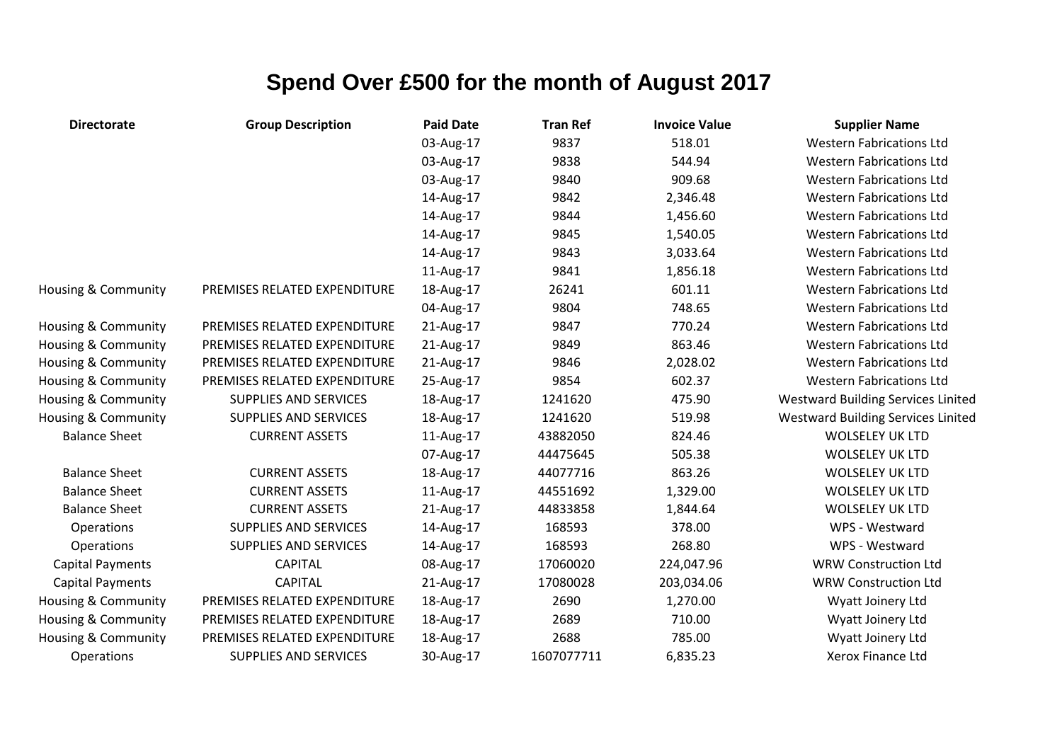| <b>Directorate</b>      | <b>Group Description</b>     | <b>Paid Date</b> | <b>Tran Ref</b> | <b>Invoice Value</b> | <b>Supplier Name</b>                      |
|-------------------------|------------------------------|------------------|-----------------|----------------------|-------------------------------------------|
|                         |                              | 03-Aug-17        | 9837            | 518.01               | <b>Western Fabrications Ltd</b>           |
|                         |                              | 03-Aug-17        | 9838            | 544.94               | <b>Western Fabrications Ltd</b>           |
|                         |                              | 03-Aug-17        | 9840            | 909.68               | <b>Western Fabrications Ltd</b>           |
|                         |                              | 14-Aug-17        | 9842            | 2,346.48             | <b>Western Fabrications Ltd</b>           |
|                         |                              | 14-Aug-17        | 9844            | 1,456.60             | <b>Western Fabrications Ltd</b>           |
|                         |                              | 14-Aug-17        | 9845            | 1,540.05             | <b>Western Fabrications Ltd</b>           |
|                         |                              | 14-Aug-17        | 9843            | 3,033.64             | <b>Western Fabrications Ltd</b>           |
|                         |                              | 11-Aug-17        | 9841            | 1,856.18             | <b>Western Fabrications Ltd</b>           |
| Housing & Community     | PREMISES RELATED EXPENDITURE | 18-Aug-17        | 26241           | 601.11               | <b>Western Fabrications Ltd</b>           |
|                         |                              | 04-Aug-17        | 9804            | 748.65               | <b>Western Fabrications Ltd</b>           |
| Housing & Community     | PREMISES RELATED EXPENDITURE | 21-Aug-17        | 9847            | 770.24               | <b>Western Fabrications Ltd</b>           |
| Housing & Community     | PREMISES RELATED EXPENDITURE | 21-Aug-17        | 9849            | 863.46               | <b>Western Fabrications Ltd</b>           |
| Housing & Community     | PREMISES RELATED EXPENDITURE | 21-Aug-17        | 9846            | 2,028.02             | <b>Western Fabrications Ltd</b>           |
| Housing & Community     | PREMISES RELATED EXPENDITURE | 25-Aug-17        | 9854            | 602.37               | <b>Western Fabrications Ltd</b>           |
| Housing & Community     | <b>SUPPLIES AND SERVICES</b> | 18-Aug-17        | 1241620         | 475.90               | <b>Westward Building Services Linited</b> |
| Housing & Community     | <b>SUPPLIES AND SERVICES</b> | 18-Aug-17        | 1241620         | 519.98               | <b>Westward Building Services Linited</b> |
| <b>Balance Sheet</b>    | <b>CURRENT ASSETS</b>        | 11-Aug-17        | 43882050        | 824.46               | <b>WOLSELEY UK LTD</b>                    |
|                         |                              | 07-Aug-17        | 44475645        | 505.38               | <b>WOLSELEY UK LTD</b>                    |
| <b>Balance Sheet</b>    | <b>CURRENT ASSETS</b>        | 18-Aug-17        | 44077716        | 863.26               | <b>WOLSELEY UK LTD</b>                    |
| <b>Balance Sheet</b>    | <b>CURRENT ASSETS</b>        | 11-Aug-17        | 44551692        | 1,329.00             | <b>WOLSELEY UK LTD</b>                    |
| <b>Balance Sheet</b>    | <b>CURRENT ASSETS</b>        | 21-Aug-17        | 44833858        | 1,844.64             | <b>WOLSELEY UK LTD</b>                    |
| Operations              | SUPPLIES AND SERVICES        | 14-Aug-17        | 168593          | 378.00               | WPS - Westward                            |
| Operations              | <b>SUPPLIES AND SERVICES</b> | 14-Aug-17        | 168593          | 268.80               | WPS - Westward                            |
| <b>Capital Payments</b> | <b>CAPITAL</b>               | 08-Aug-17        | 17060020        | 224,047.96           | <b>WRW Construction Ltd</b>               |
| <b>Capital Payments</b> | <b>CAPITAL</b>               | 21-Aug-17        | 17080028        | 203,034.06           | <b>WRW Construction Ltd</b>               |
| Housing & Community     | PREMISES RELATED EXPENDITURE | 18-Aug-17        | 2690            | 1,270.00             | Wyatt Joinery Ltd                         |
| Housing & Community     | PREMISES RELATED EXPENDITURE | 18-Aug-17        | 2689            | 710.00               | Wyatt Joinery Ltd                         |
| Housing & Community     | PREMISES RELATED EXPENDITURE | 18-Aug-17        | 2688            | 785.00               | Wyatt Joinery Ltd                         |
| Operations              | SUPPLIES AND SERVICES        | 30-Aug-17        | 1607077711      | 6,835.23             | Xerox Finance Ltd                         |